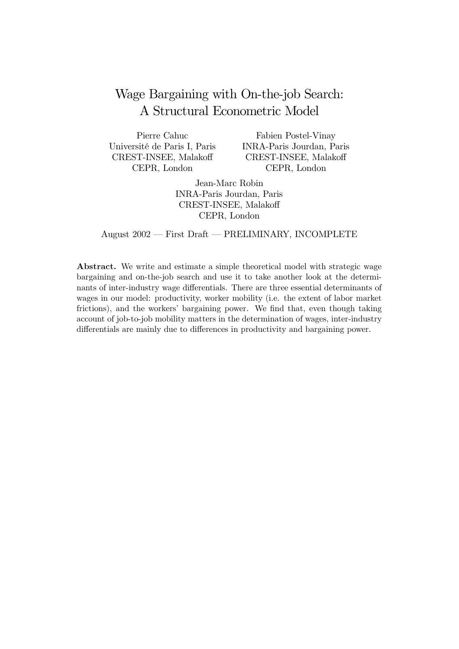# Wage Bargaining with On-the-job Search: A Structural Econometric Model

Pierre Cahuc Université de Paris I, Paris CREST-INSEE, Malakoff CEPR, London

Fabien Postel-Vinav INRA-Paris Jourdan, Paris CREST-INSEE. Malakoff CEPR, London

Jean-Marc Robin **INRA-Paris Jourdan**, Paris CREST-INSEE, Malakoff CEPR, London

August 2002 - First Draft - PRELIMINARY, INCOMPLETE

**Abstract.** We write and estimate a simple theoretical model with strategic wage bargaining and on-the-job search and use it to take another look at the determinants of inter-industry wage differentials. There are three essential determinants of wages in our model: productivity, worker mobility (i.e. the extent of labor market frictions), and the workers' bargaining power. We find that, even though taking account of job-to-job mobility matters in the determination of wages, inter-industry differentials are mainly due to differences in productivity and bargaining power.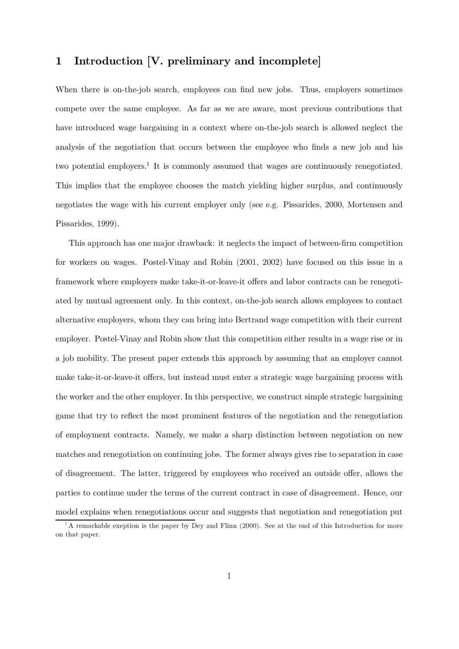### Introduction [V. preliminary and incomplete]  $\mathbf 1$

When there is on-the-job search, employees can find new jobs. Thus, employers sometimes compete over the same employee. As far as we are aware, most previous contributions that have introduced wage bargaining in a context where on-the-job search is allowed neglect the analysis of the negotiation that occurs between the employee who finds a new job and his two potential employers.<sup>1</sup> It is commonly assumed that wages are continuously renegotiated. This implies that the employee chooses the match yielding higher surplus, and continuously negotiates the wage with his current employer only (see e.g. Pissarides, 2000, Mortensen and Pissarides, 1999).

This approach has one major drawback: it neglects the impact of between-firm competition for workers on wages. Postel-Vinay and Robin (2001, 2002) have focused on this issue in a framework where employers make take-it-or-leave-it offers and labor contracts can be renegotiated by mutual agreement only. In this context, on-the-job search allows employees to contact alternative employers, whom they can bring into Bertrand wage competition with their current employer. Postel-Vinay and Robin show that this competition either results in a wage rise or in a job mobility. The present paper extends this approach by assuming that an employer cannot make take-it-or-leave-it offers, but instead must enter a strategic wage bargaining process with the worker and the other employer. In this perspective, we construct simple strategic bargaining game that try to reflect the most prominent features of the negotiation and the renegotiation of employment contracts. Namely, we make a sharp distinction between negotiation on new matches and renegotiation on continuing jobs. The former always gives rise to separation in case of disagreement. The latter, triggered by employees who received an outside offer, allows the parties to continue under the terms of the current contract in case of disagreement. Hence, our model explains when renegotiations occur and suggests that negotiation and renegotiation put

<sup>&</sup>lt;sup>1</sup>A remarkable exeption is the paper by Dey and Flinn (2000). See at the end of this Introduction for more on that paper.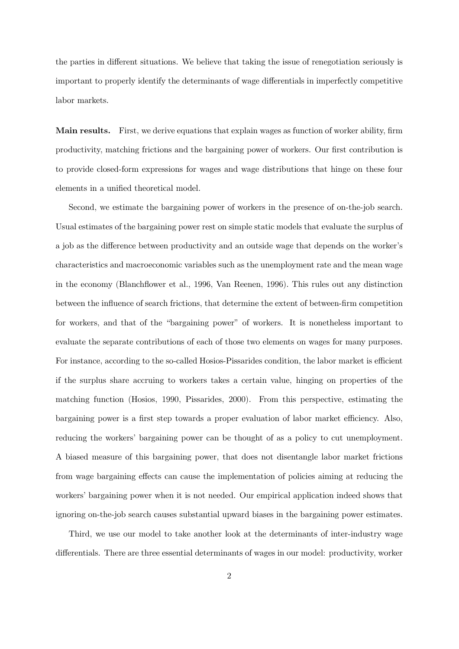the parties in different situations. We believe that taking the issue of renegotiation seriously is important to properly identify the determinants of wage differentials in imperfectly competitive labor markets.

**Main results.** First, we derive equations that explain wages as function of worker ability, firm productivity, matching frictions and the bargaining power of workers. Our first contribution is to provide closed-form expressions for wages and wage distributions that hinge on these four elements in a unified theoretical model.

Second, we estimate the bargaining power of workers in the presence of on-the-job search. Usual estimates of the bargaining power rest on simple static models that evaluate the surplus of a job as the difference between productivity and an outside wage that depends on the worker's characteristics and macroeconomic variables such as the unemployment rate and the mean wage in the economy (Blanchflower et al., 1996, Van Reenen, 1996). This rules out any distinction between the influence of search frictions, that determine the extent of between-firm competition for workers, and that of the "bargaining power" of workers. It is nonetheless important to evaluate the separate contributions of each of those two elements on wages for many purposes. For instance, according to the so-called Hosios-Pissarides condition, the labor market is efficient if the surplus share accruing to workers takes a certain value, hinging on properties of the matching function (Hosios, 1990, Pissarides, 2000). From this perspective, estimating the bargaining power is a first step towards a proper evaluation of labor market efficiency. Also, reducing the workers' bargaining power can be thought of as a policy to cut unemployment. A biased measure of this bargaining power, that does not disentangle labor market frictions from wage bargaining effects can cause the implementation of policies aiming at reducing the workers' bargaining power when it is not needed. Our empirical application indeed shows that ignoring on-the-job search causes substantial upward biases in the bargaining power estimates.

Third, we use our model to take another look at the determinants of inter-industry wage differentials. There are three essential determinants of wages in our model: productivity, worker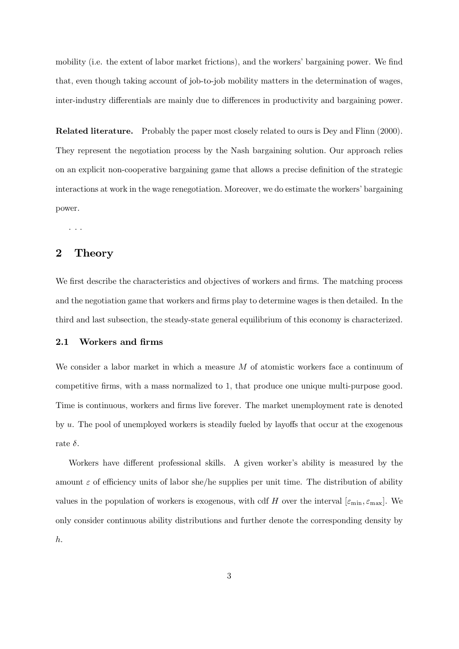mobility (i.e. the extent of labor market frictions), and the workers' bargaining power. We find that, even though taking account of job-to-job mobility matters in the determination of wages, inter-industry differentials are mainly due to differences in productivity and bargaining power.

**Related literature.** Probably the paper most closely related to ours is Dev and Flinn (2000). They represent the negotiation process by the Nash bargaining solution. Our approach relies on an explicit non-cooperative bargaining game that allows a precise definition of the strategic interactions at work in the wage renegotiation. Moreover, we do estimate the workers' bargaining power.

### $\overline{2}$ Theory

We first describe the characteristics and objectives of workers and firms. The matching process and the negotiation game that workers and firms play to determine wages is then detailed. In the third and last subsection, the steady-state general equilibrium of this economy is characterized.

### Workers and firms  $2.1$

We consider a labor market in which a measure  $M$  of atomistic workers face a continuum of competitive firms, with a mass normalized to 1, that produce one unique multi-purpose good. Time is continuous, workers and firms live forever. The market unemployment rate is denoted by  $u$ . The pool of unemployed workers is steadily fueled by layoffs that occur at the exogenous rate  $\delta$ .

Workers have different professional skills. A given worker's ability is measured by the amount  $\varepsilon$  of efficiency units of labor she/he supplies per unit time. The distribution of ability values in the population of workers is exogenous, with cdf H over the interval  $[\varepsilon_{\min}, \varepsilon_{\max}]$ . We only consider continuous ability distributions and further denote the corresponding density by  $h$ .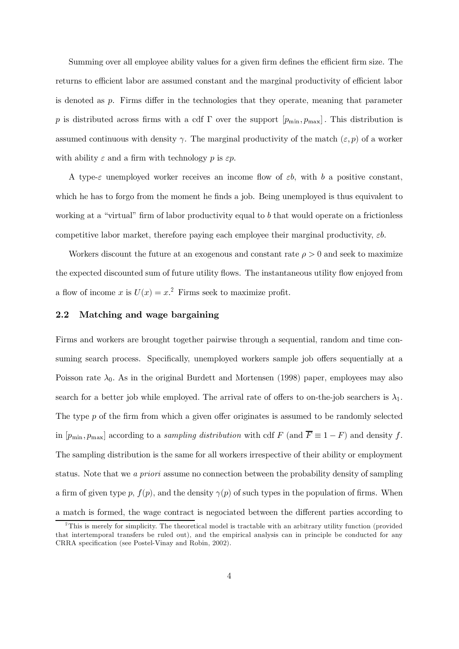Summing over all employee ability values for a given firm defines the efficient firm size. The returns to efficient labor are assumed constant and the marginal productivity of efficient labor is denoted as  $p$ . Firms differ in the technologies that they operate, meaning that parameter p is distributed across firms with a cdf  $\Gamma$  over the support  $[p_{\min}, p_{\max}]$ . This distribution is assumed continuous with density  $\gamma$ . The marginal productivity of the match  $(\varepsilon, p)$  of a worker with ability  $\varepsilon$  and a firm with technology p is  $\varepsilon p$ .

A type- $\varepsilon$  unemployed worker receives an income flow of  $\varepsilon b$ , with b a positive constant, which he has to forgo from the moment he finds a job. Being unemployed is thus equivalent to working at a "virtual" firm of labor productivity equal to b that would operate on a frictionless competitive labor market, therefore paying each employee their marginal productivity,  $\varepsilon b$ .

Workers discount the future at an exogenous and constant rate  $\rho > 0$  and seek to maximize the expected discounted sum of future utility flows. The instantaneous utility flow enjoyed from a flow of income x is  $U(x) = x^2$ . Firms seek to maximize profit.

### 2.2 Matching and wage bargaining

Firms and workers are brought together pairwise through a sequential, random and time consuming search process. Specifically, unemployed workers sample job offers sequentially at a Poisson rate  $\lambda_0$ . As in the original Burdett and Mortensen (1998) paper, employees may also search for a better job while employed. The arrival rate of offers to on-the-job searchers is  $\lambda_1$ . The type  $p$  of the firm from which a given offer originates is assumed to be randomly selected in  $[p_{\min}, p_{\max}]$  according to a *sampling distribution* with cdf F (and  $\overline{F} \equiv 1 - F$ ) and density f. The sampling distribution is the same for all workers irrespective of their ability or employment status. Note that we a priori assume no connection between the probability density of sampling a firm of given type p,  $f(p)$ , and the density  $\gamma(p)$  of such types in the population of firms. When a match is formed, the wage contract is negociated between the different parties according to

 ${}^{2}$ This is merely for simplicity. The theoretical model is tractable with an arbitrary utility function (provided that intertemporal transfers be ruled out), and the empirical analysis can in principle be conducted for any CRRA specification (see Postel-Vinay and Robin, 2002).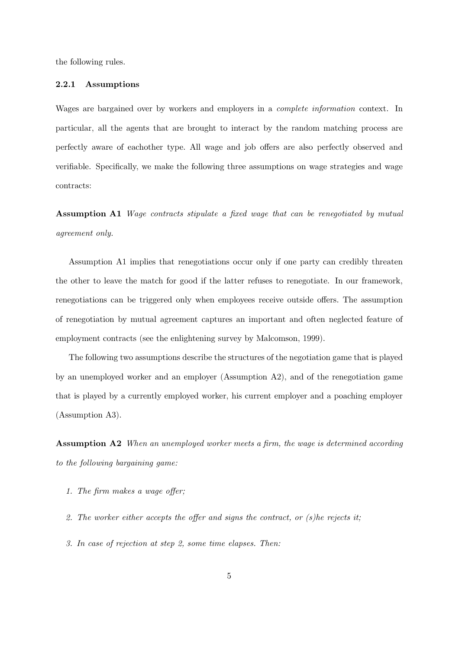the following rules.

### $2.2.1$ Assumptions

Wages are bargained over by workers and employers in a *complete information* context. In particular, all the agents that are brought to interact by the random matching process are perfectly aware of eachother type. All wage and job offers are also perfectly observed and verifiable. Specifically, we make the following three assumptions on wage strategies and wage contracts:

**Assumption A1** Wage contracts stipulate a fixed wage that can be renegotiated by mutual agreement only.

Assumption A1 implies that renegotiations occur only if one party can credibly threaten the other to leave the match for good if the latter refuses to renegotiate. In our framework, renegotiations can be triggered only when employees receive outside offers. The assumption of renegotiation by mutual agreement captures an important and often neglected feature of employment contracts (see the enlightening survey by Malcomson, 1999).

The following two assumptions describe the structures of the negotiation game that is played by an unemployed worker and an employer (Assumption A2), and of the renegotiation game that is played by a currently employed worker, his current employer and a poaching employer  $(Assumption A3).$ 

**Assumption A2** When an unemployed worker meets a firm, the wage is determined according to the following bargaining game:

- 1. The firm makes a wage offer;
- 2. The worker either accepts the offer and signs the contract, or  $(s)$ he rejects it;
- 3. In case of rejection at step 2, some time elapses. Then: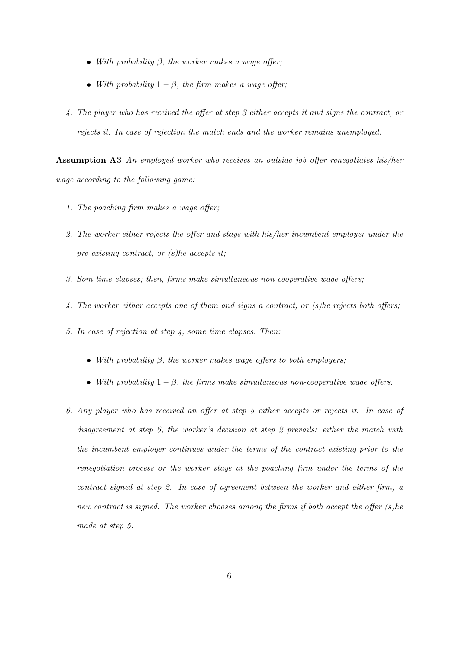- With probability  $\beta$ , the worker makes a wage offer;
- With probability  $1 \beta$ , the firm makes a wage offer;
- 4. The player who has received the offer at step 3 either accepts it and signs the contract, or rejects it. In case of rejection the match ends and the worker remains unemployed.

**Assumption A3** An employed worker who receives an outside job offer renegotiates his/her wage according to the following game:

- 1. The poaching firm makes a wage offer:
- 2. The worker either rejects the offer and stays with his/her incumbent employer under the pre-existing contract, or  $(s)$ he accepts it;
- 3. Som time elapses; then, firms make simultaneous non-cooperative wage offers;
- 4. The worker either accepts one of them and signs a contract, or  $(s)$ he rejects both offers;
- 5. In case of rejection at step  $\lambda$ , some time elapses. Then:
	- With probability  $\beta$ , the worker makes wage offers to both employers;
	- With probability  $1-\beta$ , the firms make simultaneous non-cooperative wage offers.
- 6. Any player who has received an offer at step 5 either accepts or rejects it. In case of disagreement at step 6, the worker's decision at step 2 prevails: either the match with the incumbent employer continues under the terms of the contract existing prior to the renegotiation process or the worker stays at the poaching firm under the terms of the contract signed at step 2. In case of agreement between the worker and either firm, a new contract is signed. The worker chooses among the firms if both accept the offer  $(s)$ he made at step 5.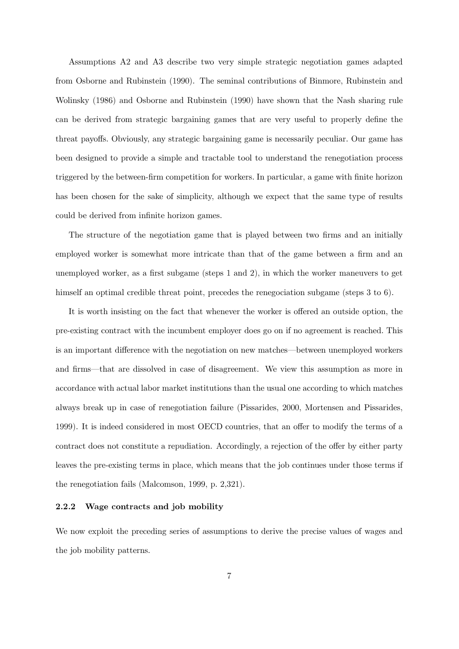Assumptions A2 and A3 describe two very simple strategic negotiation games adapted from Osborne and Rubinstein (1990). The seminal contributions of Binmore, Rubinstein and Wolinsky (1986) and Osborne and Rubinstein (1990) have shown that the Nash sharing rule can be derived from strategic bargaining games that are very useful to properly define the threat payoffs. Obviously, any strategic bargaining game is necessarily peculiar. Our game has been designed to provide a simple and tractable tool to understand the renegotiation process triggered by the between-firm competition for workers. In particular, a game with finite horizon has been chosen for the sake of simplicity, although we expect that the same type of results could be derived from infinite horizon games.

The structure of the negotiation game that is played between two firms and an initially employed worker is somewhat more intricate than that of the game between a firm and an unemployed worker, as a first subgame (steps 1 and 2), in which the worker maneuvers to get himself an optimal credible threat point, precedes the renegociation subgame (steps 3 to 6).

It is worth insisting on the fact that whenever the worker is offered an outside option, the pre-existing contract with the incumbent employer does go on if no agreement is reached. This is an important difference with the negotiation on new matches—between unemployed workers and firms—that are dissolved in case of disagreement. We view this assumption as more in accordance with actual labor market institutions than the usual one according to which matches always break up in case of renegotiation failure (Pissarides, 2000, Mortensen and Pissarides, 1999). It is indeed considered in most OECD countries, that an offer to modify the terms of a contract does not constitute a repudiation. Accordingly, a rejection of the offer by either party leaves the pre-existing terms in place, which means that the job continues under those terms if the renegotiation fails (Malcomson, 1999, p. 2,321).

### $2.2.2$ Wage contracts and job mobility

We now exploit the preceding series of assumptions to derive the precise values of wages and the job mobility patterns.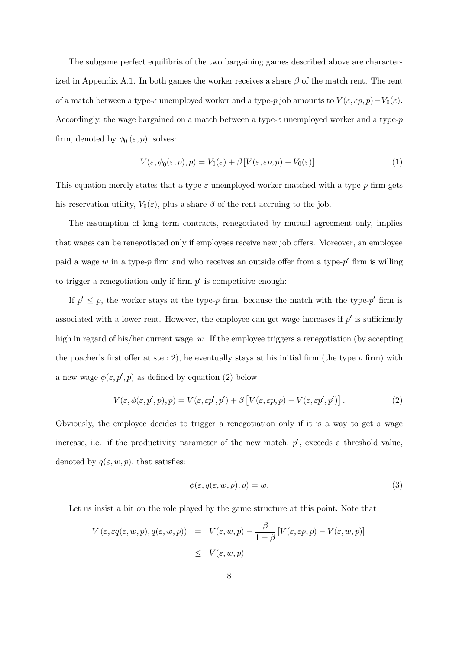The subgame perfect equilibria of the two bargaining games described above are characterized in Appendix A.1. In both games the worker receives a share  $\beta$  of the match rent. The rent of a match between a type- $\varepsilon$  unemployed worker and a type-p job amounts to  $V(\varepsilon, \varepsilon p, p) - V_0(\varepsilon)$ . Accordingly, the wage bargained on a match between a type- $\varepsilon$  unemployed worker and a type- $p$ firm, denoted by  $\phi_0(\varepsilon, p)$ , solves:

$$
V(\varepsilon, \phi_0(\varepsilon, p), p) = V_0(\varepsilon) + \beta \left[ V(\varepsilon, \varepsilon p, p) - V_0(\varepsilon) \right]. \tag{1}
$$

This equation merely states that a type- $\varepsilon$  unemployed worker matched with a type-p firm gets his reservation utility,  $V_0(\varepsilon)$ , plus a share  $\beta$  of the rent accruing to the job.

The assumption of long term contracts, renegotiated by mutual agreement only, implies that wages can be renegotiated only if employees receive new job offers. Moreover, an employee paid a wage w in a type-p firm and who receives an outside offer from a type-p' firm is willing to trigger a renegotiation only if firm  $p'$  is competitive enough:

If  $p' \leq p$ , the worker stays at the type-p firm, because the match with the type-p' firm is associated with a lower rent. However, the employee can get wage increases if  $p'$  is sufficiently high in regard of his/her current wage,  $w$ . If the employee triggers a renegotiation (by accepting the poacher's first offer at step 2), he eventually stays at his initial firm (the type  $p$  firm) with a new wage  $\phi(\varepsilon, p', p)$  as defined by equation (2) below

$$
V(\varepsilon, \phi(\varepsilon, p', p), p) = V(\varepsilon, \varepsilon p', p') + \beta \left[ V(\varepsilon, \varepsilon p, p) - V(\varepsilon, \varepsilon p', p') \right]. \tag{2}
$$

Obviously, the employee decides to trigger a renegotiation only if it is a way to get a wage increase, i.e. if the productivity parameter of the new match,  $p'$ , exceeds a threshold value, denoted by  $q(\varepsilon, w, p)$ , that satisfies:

$$
\phi(\varepsilon, q(\varepsilon, w, p), p) = w.
$$
\n(3)

Let us insist a bit on the role played by the game structure at this point. Note that

$$
V(\varepsilon, \varepsilon q(\varepsilon, w, p), q(\varepsilon, w, p)) = V(\varepsilon, w, p) - \frac{\beta}{1 - \beta} [V(\varepsilon, \varepsilon p, p) - V(\varepsilon, w, p)]
$$
  

$$
\leq V(\varepsilon, w, p)
$$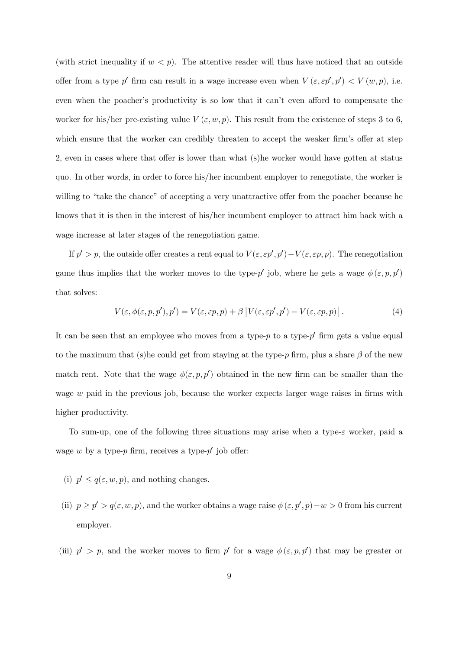(with strict inequality if  $w < p$ ). The attentive reader will thus have noticed that an outside offer from a type p' firm can result in a wage increase even when  $V(\varepsilon, \varepsilon p', p') < V(w, p)$ , i.e. even when the poacher's productivity is so low that it can't even afford to compensate the worker for his/her pre-existing value  $V(\varepsilon, w, p)$ . This result from the existence of steps 3 to 6, which ensure that the worker can credibly threaten to accept the weaker firm's offer at step 2, even in cases where that offer is lower than what (s) he worker would have gotten at status quo. In other words, in order to force his/her incumbent employer to renegotiate, the worker is willing to "take the chance" of accepting a very unattractive offer from the poacher because he knows that it is then in the interest of his/her incumbent employer to attract him back with a wage increase at later stages of the renegotiation game.

If  $p' > p$ , the outside offer creates a rent equal to  $V(\varepsilon, \varepsilon p', p') - V(\varepsilon, \varepsilon p, p)$ . The renegotiation game thus implies that the worker moves to the type-p' job, where he gets a wage  $\phi(\varepsilon, p, p')$ that solves:

$$
V(\varepsilon, \phi(\varepsilon, p, p'), p') = V(\varepsilon, \varepsilon p, p) + \beta \left[ V(\varepsilon, \varepsilon p', p') - V(\varepsilon, \varepsilon p, p) \right]. \tag{4}
$$

It can be seen that an employee who moves from a type- $p$  to a type- $p'$  firm gets a value equal to the maximum that (s) he could get from staying at the type-p firm, plus a share  $\beta$  of the new match rent. Note that the wage  $\phi(\varepsilon, p, p')$  obtained in the new firm can be smaller than the wage w paid in the previous job, because the worker expects larger wage raises in firms with higher productivity.

To sum-up, one of the following three situations may arise when a type- $\varepsilon$  worker, paid a wage w by a type-p firm, receives a type-p' job offer:

- (i)  $p' \leq q(\varepsilon, w, p)$ , and nothing changes.
- (ii)  $p \ge p' > q(\varepsilon, w, p)$ , and the worker obtains a wage raise  $\phi(\varepsilon, p', p) w > 0$  from his current employer.
- (iii)  $p' > p$ , and the worker moves to firm p' for a wage  $\phi(\varepsilon, p, p')$  that may be greater or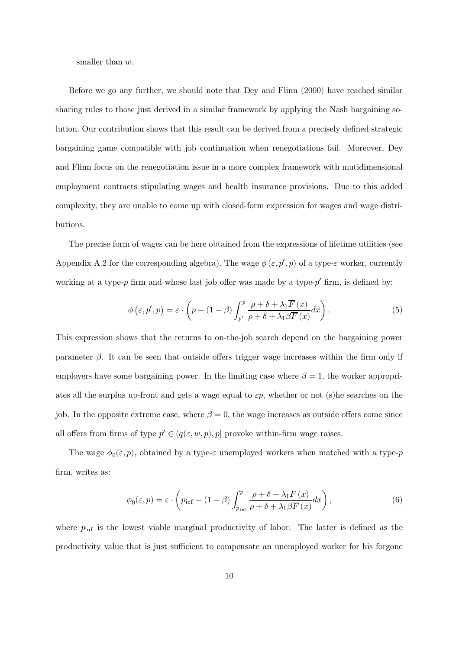smaller than  $w$ .

Before we go any further, we should note that Dev and Flinn (2000) have reached similar sharing rules to those just derived in a similar framework by applying the Nash bargaining solution. Our contribution shows that this result can be derived from a precisely defined strategic bargaining game compatible with job continuation when renegotiations fail. Moreover, Dev and Flinn focus on the renegotiation issue in a more complex framework with mutidimensional employment contracts stipulating wages and health insurance provisions. Due to this added complexity, they are unable to come up with closed-form expression for wages and wage distributions.

The precise form of wages can be here obtained from the expressions of lifetime utilities (see Appendix A.2 for the corresponding algebra). The wage  $\phi(\varepsilon, p', p)$  of a type- $\varepsilon$  worker, currently working at a type-p firm and whose last job offer was made by a type-p' firm, is defined by:

$$
\phi\left(\varepsilon, p', p\right) = \varepsilon \cdot \left(p - (1 - \beta) \int_{p'}^{p} \frac{\rho + \delta + \lambda_1 \overline{F}(x)}{\rho + \delta + \lambda_1 \beta \overline{F}(x)} dx\right). \tag{5}
$$

This expression shows that the returns to on-the-job search depend on the bargaining power parameter  $\beta$ . It can be seen that outside offers trigger wage increases within the firm only if employers have some bargaining power. In the limiting case where  $\beta = 1$ , the worker appropriates all the surplus up-front and gets a wage equal to  $\varepsilon p$ , whether or not (s) he searches on the job. In the opposite extreme case, where  $\beta = 0$ , the wage increases as outside offers come since all offers from firms of type  $p'\in(q(\varepsilon,w,p),p]$  provoke within-firm wage raises.

The wage  $\phi_0(\varepsilon, p)$ , obtained by a type- $\varepsilon$  unemployed workers when matched with a type-p firm, writes as:

$$
\phi_0(\varepsilon, p) = \varepsilon \cdot \left( p_{\inf} - (1 - \beta) \int_{p_{\inf}}^p \frac{\rho + \delta + \lambda_1 \overline{F}(x)}{\rho + \delta + \lambda_1 \beta \overline{F}(x)} dx \right),\tag{6}
$$

where  $p_{\text{inf}}$  is the lowest viable marginal productivity of labor. The latter is defined as the productivity value that is just sufficient to compensate an unemployed worker for his forgone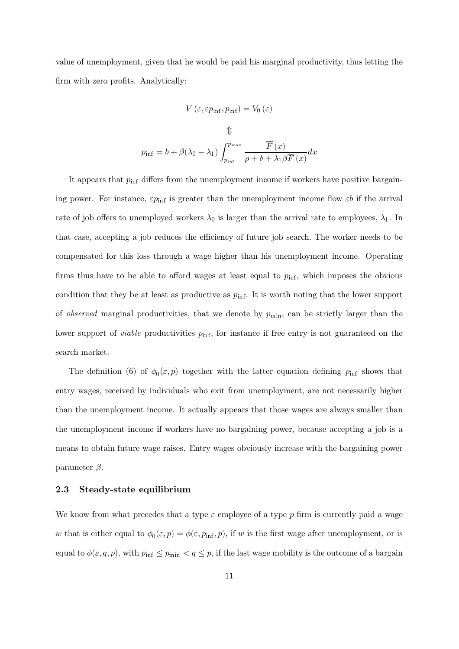value of unemployment, given that he would be paid his marginal productivity, thus letting the firm with zero profits. Analytically:

$$
V\left(\varepsilon,\varepsilon p_{\inf},p_{\inf}\right)=V_{0}\left(\varepsilon\right)
$$

It appears that  $p_{\text{inf}}$  differs from the unemployment income if workers have positive bargaining power. For instance,  $\varepsilon p_{\text{inf}}$  is greater than the unemployment income flow  $\varepsilon b$  if the arrival rate of job offers to unemployed workers  $\lambda_0$  is larger than the arrival rate to employees,  $\lambda_1$ . In that case, accepting a job reduces the efficiency of future job search. The worker needs to be compensated for this loss through a wage higher than his unemployment income. Operating firms thus have to be able to afford wages at least equal to  $p_{\text{inf}}$ , which imposes the obvious condition that they be at least as productive as  $p_{\text{inf}}$ . It is worth noting that the lower support of *observed* marginal productivities, that we denote by  $p_{\min}$ , can be strictly larger than the lower support of *viable* productivities  $p_{\text{inf}}$ , for instance if free entry is not guaranteed on the search market.

The definition (6) of  $\phi_0(\varepsilon, p)$  together with the latter equation defining  $p_{\text{inf}}$  shows that entry wages, received by individuals who exit from unemployment, are not necessarily higher than the unemployment income. It actually appears that those wages are always smaller than the unemployment income if workers have no bargaining power, because accepting a job is a means to obtain future wage raises. Entry wages obviously increase with the bargaining power parameter  $\beta$ .

### 2.3 Steady-state equilibrium

We know from what precedes that a type  $\varepsilon$  employee of a type p firm is currently paid a wage w that is either equal to  $\phi_0(\varepsilon, p) = \phi(\varepsilon, p_{\text{inf}}, p)$ , if w is the first wage after unemployment, or is equal to  $\phi(\varepsilon, q, p)$ , with  $p_{\text{inf}} \leq p_{\text{min}} < q \leq p$ , if the last wage mobility is the outcome of a bargain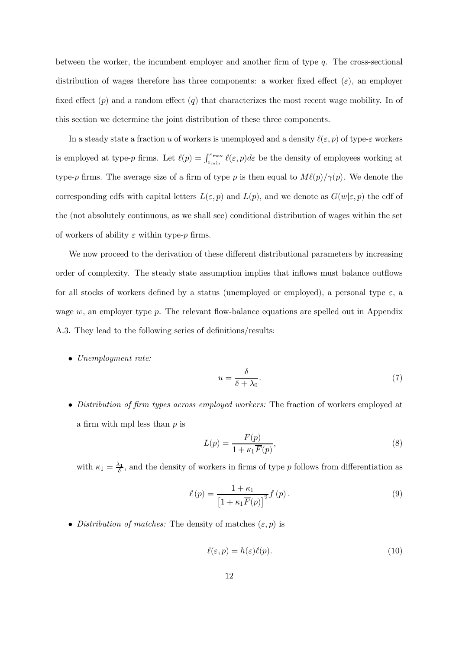between the worker, the incumbent employer and another firm of type  $q$ . The cross-sectional distribution of wages therefore has three components: a worker fixed effect  $(\varepsilon)$ , an employer fixed effect  $(p)$  and a random effect  $(q)$  that characterizes the most recent wage mobility. In of this section we determine the joint distribution of these three components.

In a steady state a fraction u of workers is unemployed and a density  $\ell(\varepsilon, p)$  of type- $\varepsilon$  workers is employed at type-p firms. Let  $\ell(p) = \int_{\varepsilon_{\min}}^{\varepsilon_{\max}} \ell(\varepsilon, p) d\varepsilon$  be the density of employees working at type-p firms. The average size of a firm of type p is then equal to  $M\ell(p)/\gamma(p)$ . We denote the corresponding cdfs with capital letters  $L(\varepsilon, p)$  and  $L(p)$ , and we denote as  $G(w|\varepsilon, p)$  the cdf of the (not absolutely continuous, as we shall see) conditional distribution of wages within the set of workers of ability  $\varepsilon$  within type-p firms.

We now proceed to the derivation of these different distributional parameters by increasing order of complexity. The steady state assumption implies that inflows must balance outflows for all stocks of workers defined by a status (unemployed or employed), a personal type  $\varepsilon$ , a wage  $w$ , an employer type p. The relevant flow-balance equations are spelled out in Appendix A.3. They lead to the following series of definitions/results:

 $\bullet$  Unemployment rate:

$$
u = \frac{\delta}{\delta + \lambda_0}.\tag{7}
$$

• Distribution of firm types across employed workers: The fraction of workers employed at a firm with mpl less than  $p$  is

$$
L(p) = \frac{F(p)}{1 + \kappa_1 \overline{F}(p)},
$$
\n(8)

with  $\kappa_1 = \frac{\lambda_1}{\delta}$ , and the density of workers in firms of type p follows from differentiation as

$$
\ell(p) = \frac{1 + \kappa_1}{\left[1 + \kappa_1 \overline{F}(p)\right]^2} f(p).
$$
\n(9)

• Distribution of matches: The density of matches  $(\varepsilon, p)$  is

$$
\ell(\varepsilon, p) = h(\varepsilon)\ell(p). \tag{10}
$$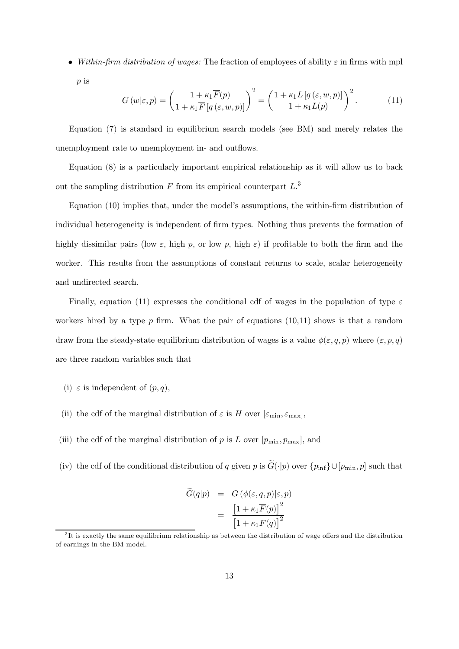• Within-firm distribution of wages: The fraction of employees of ability  $\varepsilon$  in firms with mpl  $p$  is

$$
G(w|\varepsilon, p) = \left(\frac{1 + \kappa_1 \overline{F}(p)}{1 + \kappa_1 \overline{F}[q(\varepsilon, w, p)]}\right)^2 = \left(\frac{1 + \kappa_1 L[q(\varepsilon, w, p)]}{1 + \kappa_1 L(p)}\right)^2.
$$
 (11)

Equation (7) is standard in equilibrium search models (see BM) and merely relates the unemployment rate to unemployment in- and outflows.

Equation (8) is a particularly important empirical relationship as it will allow us to back out the sampling distribution  $F$  from its empirical counterpart  $L^3$ .

Equation (10) implies that, under the model's assumptions, the within-firm distribution of individual heterogeneity is independent of firm types. Nothing thus prevents the formation of highly dissimilar pairs (low  $\varepsilon$ , high p, or low p, high  $\varepsilon$ ) if profitable to both the firm and the worker. This results from the assumptions of constant returns to scale, scalar heterogeneity and undirected search.

Finally, equation (11) expresses the conditional cdf of wages in the population of type  $\varepsilon$ workers hired by a type  $p$  firm. What the pair of equations (10,11) shows is that a random draw from the steady-state equilibrium distribution of wages is a value  $\phi(\varepsilon, q, p)$  where  $(\varepsilon, p, q)$ are three random variables such that

- (i)  $\varepsilon$  is independent of  $(p,q)$ ,
- (ii) the cdf of the marginal distribution of  $\varepsilon$  is H over  $[\varepsilon_{\min}, \varepsilon_{\max}]$ ,
- (iii) the cdf of the marginal distribution of p is L over  $[p_{\min}, p_{\max}]$ , and
- (iv) the cdf of the conditional distribution of q given p is  $\widetilde{G}(\cdot|p)$  over  $\{p_{\text{inf}}\}\cup[p_{\text{min}},p]$  such that

$$
\begin{array}{rcl} \tilde{G}(q|p) & = & G\left(\phi(\varepsilon, q, p)|\varepsilon, p\right) \\ & = & \frac{\left[1 + \kappa_1 \overline{F}(p)\right]^2}{\left[1 + \kappa_1 \overline{F}(q)\right]^2} \end{array}
$$

 ${}^{3}$ It is exactly the same equilibrium relationship as between the distribution of wage offers and the distribution of earnings in the BM model.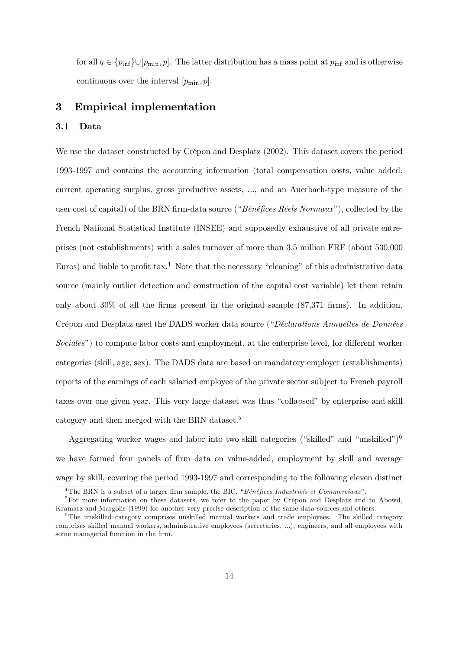for all  $q \in \{p_{\text{inf}}\}\cup [p_{\text{min}}, p]$ . The latter distribution has a mass point at  $p_{\text{inf}}$  and is otherwise continuous over the interval  $[p_{\min}, p]$ .

### 3 **Empirical implementation**

### 3.1 Data

We use the dataset constructed by Crépon and Desplatz (2002). This dataset covers the period 1993-1997 and contains the accounting information (total compensation costs, value added, current operating surplus, gross productive assets, ..., and an Auerbach-type measure of the user cost of capital) of the BRN firm-data source ("Bénéfices Réels Normaux"), collected by the French National Statistical Institute (INSEE) and supposedly exhaustive of all private entreprises (not establishments) with a sales turnover of more than 3.5 million FRF (about 530,000) Euros) and liable to profit tax.<sup>4</sup> Note that the necessary "cleaning" of this administrative data source (mainly outlier detection and construction of the capital cost variable) let them retain only about 30% of all the firms present in the original sample  $(87,371 \text{ firms})$ . In addition, Crépon and Desplatz used the DADS worker data source ("Déclarations Annuelles de Données *Sociales*") to compute labor costs and employment, at the enterprise level, for different worker categories (skill, age, sex). The DADS data are based on mandatory employer (establishments) reports of the earnings of each salaried employee of the private sector subject to French payroll taxes over one given year. This very large dataset was thus "collapsed" by enterprise and skill category and then merged with the BRN dataset.<sup>5</sup>

Aggregating worker wages and labor into two skill categories ("skilled" and "unskilled")<sup>6</sup> we have formed four panels of firm data on value-added, employment by skill and average wage by skill, covering the period 1993-1997 and corresponding to the following eleven distinct

<sup>&</sup>lt;sup>4</sup>The BRN is a subset of a larger firm sample, the BIC, "Bénéfices Industriels et Commerciaux".

<sup>&</sup>lt;sup>5</sup>For more information on these datasets, we refer to the paper by Crépon and Desplatz and to Abowd, Kramarz and Margolis (1999) for another very precise description of the same data sources and others.

 ${}^6$ The unskilled category comprises unskilled manual workers and trade employees. The skilled category comprises skilled manual workers, administrative employees (secretaries, ...), engineers, and all employees with some managerial function in the firm.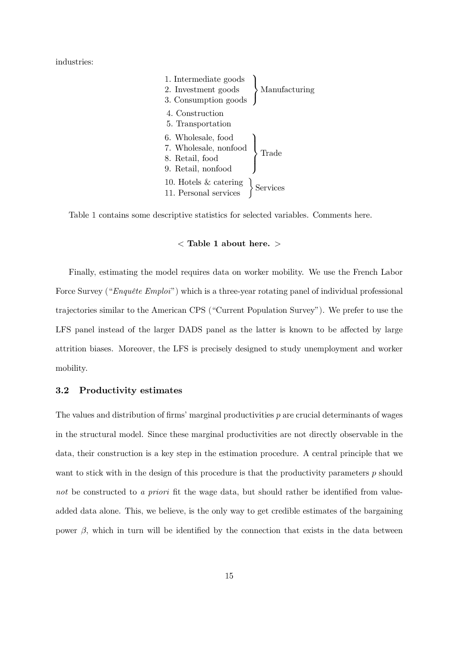industries:

| 1. Intermediate goods                                                                |               |
|--------------------------------------------------------------------------------------|---------------|
| 2. Investment goods<br>3. Consumption goods                                          | Manufacturing |
| 4. Construction<br>5. Transportation                                                 |               |
| 6. Wholesale, food<br>7. Wholesale, nonfood<br>8. Retail, food<br>9. Retail, nonfood |               |
| 10. Hotels $\&$ catering<br>11. Personal services                                    | $\{$ Services |

Table 1 contains some descriptive statistics for selected variables. Comments here.

### $\langle$  Table 1 about here.  $\rangle$

Finally, estimating the model requires data on worker mobility. We use the French Labor Force Survey ("Enquête Emploi") which is a three-year rotating panel of individual professional trajectories similar to the American CPS ("Current Population Survey"). We prefer to use the LFS panel instead of the larger DADS panel as the latter is known to be affected by large attrition biases. Moreover, the LFS is precisely designed to study unemployment and worker mobility.

### 3.2 **Productivity estimates**

The values and distribution of firms' marginal productivities  $p$  are crucial determinants of wages in the structural model. Since these marginal productivities are not directly observable in the data, their construction is a key step in the estimation procedure. A central principle that we want to stick with in the design of this procedure is that the productivity parameters  $p$  should not be constructed to a priori fit the wage data, but should rather be identified from valueadded data alone. This, we believe, is the only way to get credible estimates of the bargaining power  $\beta$ , which in turn will be identified by the connection that exists in the data between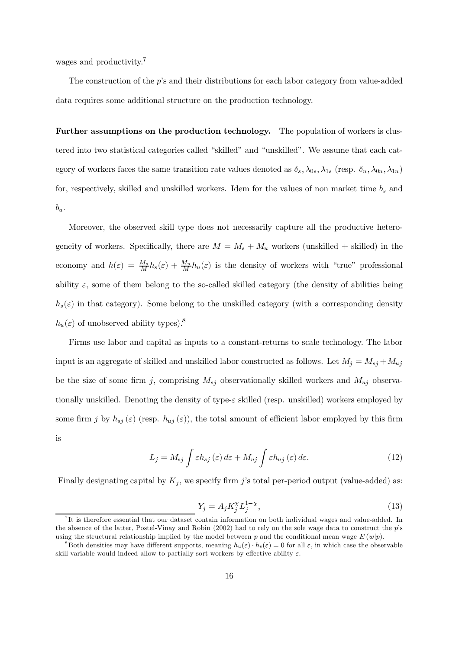wages and productivity.<sup>7</sup>

The construction of the  $p$ 's and their distributions for each labor category from value-added data requires some additional structure on the production technology.

**Further assumptions on the production technology.** The population of workers is clustered into two statistical categories called "skilled" and "unskilled". We assume that each category of workers faces the same transition rate values denoted as  $\delta_s, \lambda_{0s}, \lambda_{1s}$  (resp.  $\delta_u, \lambda_{0u}, \lambda_{1u}$ ) for, respectively, skilled and unskilled workers. Idem for the values of non market time  $b_s$  and  $b_u.$ 

Moreover, the observed skill type does not necessarily capture all the productive heterogeneity of workers. Specifically, there are  $M = M_s + M_u$  workers (unskilled + skilled) in the economy and  $h(\varepsilon) = \frac{M_s}{M} h_s(\varepsilon) + \frac{M_u}{M} h_u(\varepsilon)$  is the density of workers with "true" professional ability  $\varepsilon$ , some of them belong to the so-called skilled category (the density of abilities being  $h_s(\varepsilon)$  in that category). Some belong to the unskilled category (with a corresponding density  $h_u(\varepsilon)$  of unobserved ability types).<sup>8</sup>

Firms use labor and capital as inputs to a constant-returns to scale technology. The labor input is an aggregate of skilled and unskilled labor constructed as follows. Let  $M_j = M_{sj} + M_{uj}$ be the size of some firm j, comprising  $M_{sj}$  observationally skilled workers and  $M_{uj}$  observationally unskilled. Denoting the density of type- $\varepsilon$  skilled (resp. unskilled) workers employed by some firm j by  $h_{sj}(\varepsilon)$  (resp.  $h_{uj}(\varepsilon)$ ), the total amount of efficient labor employed by this firm is

$$
L_j = M_{sj} \int \varepsilon h_{sj} \left( \varepsilon \right) d\varepsilon + M_{uj} \int \varepsilon h_{uj} \left( \varepsilon \right) d\varepsilon. \tag{12}
$$

Finally designating capital by  $K_j$ , we specify firm j's total per-period output (value-added) as:

$$
Y_j = A_j K_j^{\chi} L_j^{1-\chi},\tag{13}
$$

 ${}^{7}$ It is therefore essential that our dataset contain information on both individual wages and value-added. In the absence of the latter, Postel-Vinay and Robin (2002) had to rely on the sole wage data to construct the p's using the structural relationship implied by the model between p and the conditional mean wage  $E(w|p)$ .

<sup>&</sup>lt;sup>8</sup>Both densities may have different supports, meaning  $h_u(\varepsilon) \cdot h_s(\varepsilon) = 0$  for all  $\varepsilon$ , in which case the observable skill variable would indeed allow to partially sort workers by effective ability  $\varepsilon$ .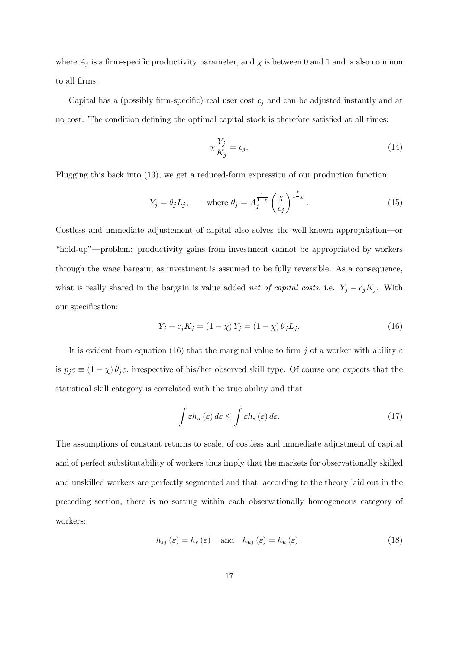where  $A_j$  is a firm-specific productivity parameter, and  $\chi$  is between 0 and 1 and is also common to all firms.

Capital has a (possibly firm-specific) real user cost  $c_j$  and can be adjusted instantly and at no cost. The condition defining the optimal capital stock is therefore satisfied at all times:

$$
\chi \frac{Y_j}{K_j} = c_j. \tag{14}
$$

Plugging this back into  $(13)$ , we get a reduced-form expression of our production function:

$$
Y_j = \theta_j L_j, \qquad \text{where } \theta_j = A_j^{\frac{1}{1-\chi}} \left(\frac{\chi}{c_j}\right)^{\frac{\chi}{1-\chi}}.
$$
 (15)

Costless and immediate adjustement of capital also solves the well-known appropriation—or "hold-up"—problem: productivity gains from investment cannot be appropriated by workers through the wage bargain, as investment is assumed to be fully reversible. As a consequence, what is really shared in the bargain is value added *net of capital costs*, i.e.  $Y_j - c_j K_j$ . With our specification:

$$
Y_j - c_j K_j = (1 - \chi) Y_j = (1 - \chi) \theta_j L_j.
$$
\n(16)

It is evident from equation (16) that the marginal value to firm j of a worker with ability  $\varepsilon$ is  $p_j \varepsilon \equiv (1 - \chi) \theta_j \varepsilon$ , irrespective of his/her observed skill type. Of course one expects that the statistical skill category is correlated with the true ability and that

$$
\int \varepsilon h_u(\varepsilon) d\varepsilon \le \int \varepsilon h_s(\varepsilon) d\varepsilon. \tag{17}
$$

The assumptions of constant returns to scale, of costless and immediate adjustment of capital and of perfect substitutability of workers thus imply that the markets for observationally skilled and unskilled workers are perfectly segmented and that, according to the theory laid out in the preceding section, there is no sorting within each observationally homogeneous category of workers:

$$
h_{sj}(\varepsilon) = h_s(\varepsilon) \quad \text{and} \quad h_{uj}(\varepsilon) = h_u(\varepsilon). \tag{18}
$$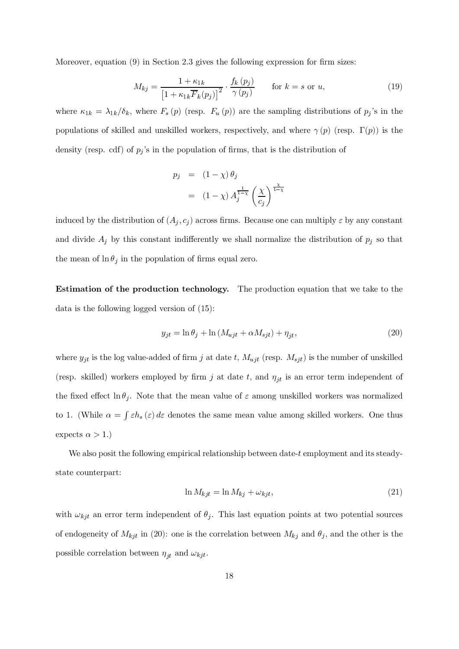Moreover, equation  $(9)$  in Section 2.3 gives the following expression for firm sizes:

$$
M_{kj} = \frac{1 + \kappa_{1k}}{\left[1 + \kappa_{1k}\overline{F}_k(p_j)\right]^2} \cdot \frac{f_k(p_j)}{\gamma(p_j)} \qquad \text{for } k = s \text{ or } u,
$$
\n(19)

where  $\kappa_{1k} = \lambda_{1k}/\delta_k$ , where  $F_s(p)$  (resp.  $F_u(p)$ ) are the sampling distributions of  $p_j$ 's in the populations of skilled and unskilled workers, respectively, and where  $\gamma(p)$  (resp.  $\Gamma(p)$ ) is the density (resp. cdf) of  $p_j$ 's in the population of firms, that is the distribution of

$$
p_j = (1 - \chi) \theta_j
$$
  
=  $(1 - \chi) A_j^{\frac{1}{1 - \chi}} \left(\frac{\chi}{c_j}\right)^{\frac{\chi}{1 - \chi}}$ 

induced by the distribution of  $(A_j, c_j)$  across firms. Because one can multiply  $\varepsilon$  by any constant and divide  $A_j$  by this constant indifferently we shall normalize the distribution of  $p_j$  so that the mean of  $\ln \theta_j$  in the population of firms equal zero.

**Estimation of the production technology.** The production equation that we take to the data is the following logged version of  $(15)$ :

$$
y_{jt} = \ln \theta_j + \ln \left( M_{ujt} + \alpha M_{sjt} \right) + \eta_{jt},\tag{20}
$$

where  $y_{jt}$  is the log value-added of firm j at date t,  $M_{ujt}$  (resp.  $M_{sjt}$ ) is the number of unskilled (resp. skilled) workers employed by firm j at date t, and  $\eta_{it}$  is an error term independent of the fixed effect  $\ln \theta_i$ . Note that the mean value of  $\varepsilon$  among unskilled workers was normalized to 1. (While  $\alpha = \int \varepsilon h_s(\varepsilon) d\varepsilon$  denotes the same mean value among skilled workers. One thus expects  $\alpha > 1$ .)

We also posit the following empirical relationship between date- $t$  employment and its steadystate counterpart:

$$
\ln M_{kjt} = \ln M_{kj} + \omega_{kjt},\tag{21}
$$

with  $\omega_{kjt}$  an error term independent of  $\theta_j$ . This last equation points at two potential sources of endogeneity of  $M_{kjt}$  in (20): one is the correlation between  $M_{kj}$  and  $\theta_j$ , and the other is the possible correlation between  $\eta_{jt}$  and  $\omega_{kjt}$ .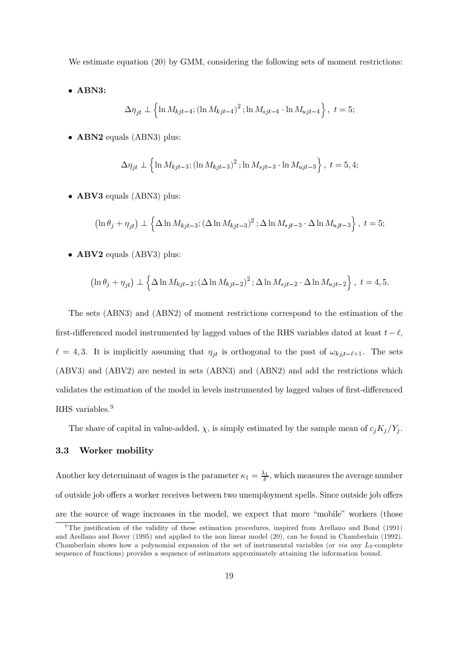We estimate equation  $(20)$  by GMM, considering the following sets of moment restrictions:

 $\bullet$  ABN3:

$$
\Delta \eta_{jt} \perp \left\{ \ln M_{kjt-4} ; (\ln M_{kjt-4})^2 ; \ln M_{sjt-4} \cdot \ln M_{ujt-4} \right\}, \ t = 5;
$$

 $\bullet$  ABN2 equals (ABN3) plus:

$$
\Delta \eta_{jt} \perp \left\{ \ln M_{kjt-3} ; (\ln M_{kjt-3})^2 ; \ln M_{sjt-3} \cdot \ln M_{ujt-3} \right\}, \ t = 5, 4;
$$

 $\bullet$  ABV3 equals (ABN3) plus:

$$
\left(\ln \theta_j + \eta_{jt}\right) \perp \left\{\Delta \ln M_{kjt-3}; \left(\Delta \ln M_{kjt-3}\right)^2; \Delta \ln M_{sjt-3} \cdot \Delta \ln M_{ujt-3}\right\}, \ t=5;
$$

 $\bullet$  ABV2 equals (ABV3) plus:

$$
\left(\ln \theta_j + \eta_{jt}\right) \perp \left\{\Delta \ln M_{kjt-2}; \left(\Delta \ln M_{kjt-2}\right)^2; \Delta \ln M_{sjt-2} \cdot \Delta \ln M_{ujt-2}\right\}, \ t=4,5.
$$

The sets (ABN3) and (ABN2) of moment restrictions correspond to the estimation of the first-differenced model instrumented by lagged values of the RHS variables dated at least  $t - \ell$ ,  $\ell = 4,3$ . It is implicitly assuming that  $\eta_{jt}$  is orthogonal to the past of  $\omega_{kj,t-\ell+1}$ . The sets  $(ABV3)$  and  $(ABV2)$  are nested in sets  $(ABN3)$  and  $(ABN2)$  and add the restrictions which validates the estimation of the model in levels instrumented by lagged values of first-differenced RHS variables. $9$ 

The share of capital in value-added,  $\chi$ , is simply estimated by the sample mean of  $c_j K_j / Y_j$ .

# 3.3 Worker mobility

Another key determinant of wages is the parameter  $\kappa_1 = \frac{\lambda_1}{\delta}$ , which measures the average number of outside job offers a worker receives between two unemployment spells. Since outside job offers are the source of wage increases in the model, we expect that more "mobile" workers (those

<sup>&</sup>lt;sup>9</sup>The justification of the validity of these estimation procedures, inspired from Arellano and Bond (1991) and Arellano and Bover (1995) and applied to the non-linear model (20), can be found in Chamberlain (1992). Chamberlain shows how a polynomial expansion of the set of instrumental variables (or via any  $L_2$ -complete sequence of functions) provides a sequence of estimators approximately attaining the information bound.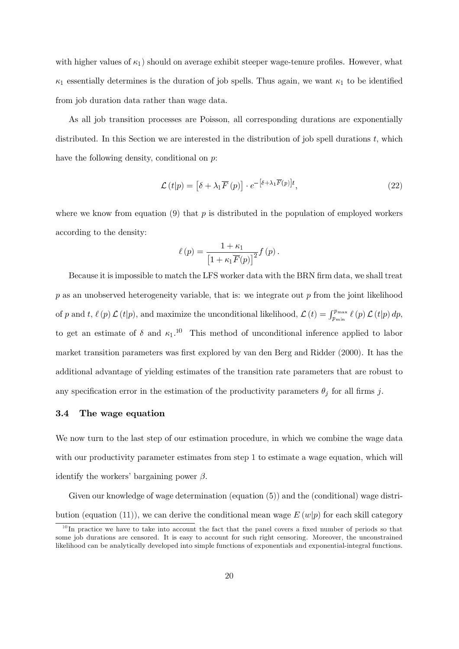with higher values of  $\kappa_1$ ) should on average exhibit steeper wage-tenure profiles. However, what  $\kappa_1$  essentially determines is the duration of job spells. Thus again, we want  $\kappa_1$  to be identified from job duration data rather than wage data.

As all job transition processes are Poisson, all corresponding durations are exponentially distributed. In this Section we are interested in the distribution of job spell durations  $t$ , which have the following density, conditional on  $p$ :

$$
\mathcal{L}\left(t|p\right) = \left[\delta + \lambda_1 \overline{F}\left(p\right)\right] \cdot e^{-\left[\delta + \lambda_1 \overline{F}\left(p\right)\right]t},\tag{22}
$$

where we know from equation (9) that  $p$  is distributed in the population of employed workers according to the density:

$$
\ell(p) = \frac{1 + \kappa_1}{\left[1 + \kappa_1 \overline{F}(p)\right]^2} f(p).
$$

Because it is impossible to match the LFS worker data with the BRN firm data, we shall treat p as an unobserved heterogeneity variable, that is: we integrate out p from the joint likelihood of p and t,  $\ell(p) \mathcal{L}(t|p)$ , and maximize the unconditional likelihood,  $\mathcal{L}(t) = \int_{p_{\min}}^{p_{\max}} \ell(p) \mathcal{L}(t|p) dp$ , to get an estimate of  $\delta$  and  $\kappa_1$ .<sup>10</sup> This method of unconditional inference applied to labor market transition parameters was first explored by van den Berg and Ridder (2000). It has the additional advantage of yielding estimates of the transition rate parameters that are robust to any specification error in the estimation of the productivity parameters  $\theta_j$  for all firms j.

### 3.4 The wage equation

We now turn to the last step of our estimation procedure, in which we combine the wage data with our productivity parameter estimates from step 1 to estimate a wage equation, which will identify the workers' bargaining power  $\beta$ .

Given our knowledge of wage determination (equation (5)) and the (conditional) wage distribution (equation (11)), we can derive the conditional mean wage  $E(w|p)$  for each skill category

 $10$ In practice we have to take into account the fact that the panel covers a fixed number of periods so that some job durations are censored. It is easy to account for such right censoring. Moreover, the unconstrained likelihood can be analytically developed into simple functions of exponentials and exponential-integral functions.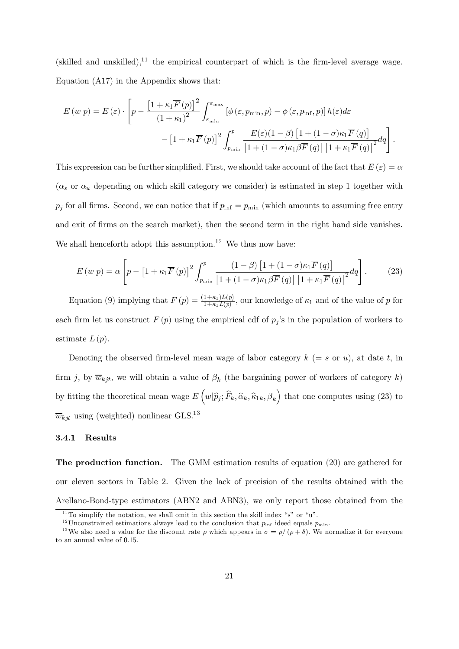(skilled and unskilled),<sup>11</sup> the empirical counterpart of which is the firm-level average wage. Equation  $(A17)$  in the Appendix shows that:

$$
E(w|p) = E(\varepsilon) \cdot \left[ p - \frac{\left[1 + \kappa_1 \overline{F}(p)\right]^2}{\left(1 + \kappa_1\right)^2} \int_{\varepsilon_{\min}}^{\varepsilon_{\max}} \left[ \phi\left(\varepsilon, p_{\min}, p\right) - \phi\left(\varepsilon, p_{\inf}, p\right) \right] h(\varepsilon) d\varepsilon - \left[1 + \kappa_1 \overline{F}(p)\right]^2 \int_{p_{\min}}^p \frac{E(\varepsilon)(1 - \beta) \left[1 + (1 - \sigma)\kappa_1 \overline{F}(q)\right]}{\left[1 + (1 - \sigma)\kappa_1 \beta \overline{F}(q)\right] \left[1 + \kappa_1 \overline{F}(q)\right]^2} dq \right].
$$

This expression can be further simplified. First, we should take account of the fact that  $E(\varepsilon) = \alpha$  $(\alpha_s \text{ or } \alpha_u)$  depending on which skill category we consider) is estimated in step 1 together with  $p_j$  for all firms. Second, we can notice that if  $p_{\text{inf}} = p_{\text{min}}$  (which amounts to assuming free entry and exit of firms on the search market), then the second term in the right hand side vanishes. We shall henceforth adopt this assumption.<sup>12</sup> We thus now have:

$$
E(w|p) = \alpha \left[ p - \left[ 1 + \kappa_1 \overline{F}(p) \right]^2 \int_{p_{\min}}^p \frac{(1-\beta) \left[ 1 + (1-\sigma)\kappa_1 \overline{F}(q) \right]}{\left[ 1 + (1-\sigma)\kappa_1 \beta \overline{F}(q) \right] \left[ 1 + \kappa_1 \overline{F}(q) \right]^2} dq \right].
$$
 (23)

Equation (9) implying that  $F(p) = \frac{(1+\kappa_1)L(p)}{1+\kappa_1L(p)}$ , our knowledge of  $\kappa_1$  and of the value of p for each firm let us construct  $F(p)$  using the empirical cdf of  $p_j$ 's in the population of workers to estimate  $L(p)$ .

Denoting the observed firm-level mean wage of labor category  $k (= s \text{ or } u)$ , at date t, in firm j, by  $\overline{w}_{kji}$ , we will obtain a value of  $\beta_k$  (the bargaining power of workers of category k) by fitting the theoretical mean wage  $E\left(w|\hat{p}_j;\hat{F}_k,\hat{\alpha}_k,\hat{\kappa}_{1k},\beta_k\right)$  that one computes using (23) to  $\overline{w}_{kjt}$  using (weighted) nonlinear GLS.<sup>13</sup>

### $3.4.1$ Results

**The production function.** The GMM estimation results of equation  $(20)$  are gathered for our eleven sectors in Table 2. Given the lack of precision of the results obtained with the Arellano-Bond-type estimators (ABN2 and ABN3), we only report those obtained from the

<sup>&</sup>lt;sup>11</sup>To simplify the notation, we shall omit in this section the skill index "s" or "u".

<sup>&</sup>lt;sup>12</sup>Unconstrained estimations always lead to the conclusion that  $p_{\text{inf}}$  ideed equals  $p_{\text{min}}$ .

<sup>&</sup>lt;sup>13</sup>We also need a value for the discount rate  $\rho$  which appears in  $\sigma = \rho/(\rho + \delta)$ . We normalize it for everyone to an annual value of 0.15.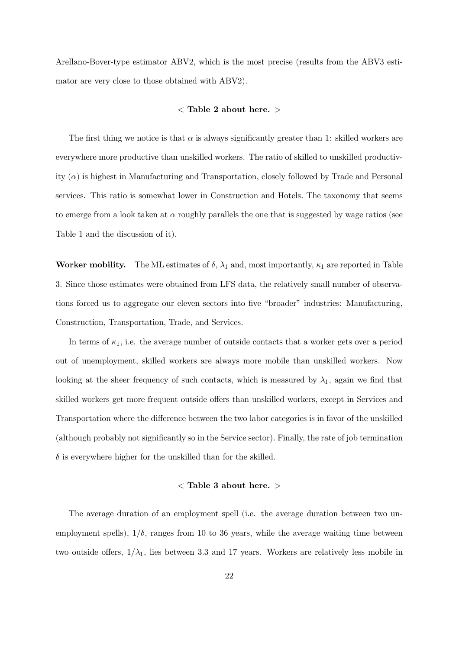Arellano-Bover-type estimator ABV2, which is the most precise (results from the ABV3 estimator are very close to those obtained with ABV2).

## $<$  Table 2 about here.  $>$

The first thing we notice is that  $\alpha$  is always significantly greater than 1: skilled workers are everywhere more productive than unskilled workers. The ratio of skilled to unskilled productivity  $(\alpha)$  is highest in Manufacturing and Transportation, closely followed by Trade and Personal services. This ratio is somewhat lower in Construction and Hotels. The taxonomy that seems to emerge from a look taken at  $\alpha$  roughly parallels the one that is suggested by wage ratios (see Table 1 and the discussion of it).

**Worker mobility.** The ML estimates of  $\delta$ ,  $\lambda_1$  and, most importantly,  $\kappa_1$  are reported in Table 3. Since those estimates were obtained from LFS data, the relatively small number of observations forced us to aggregate our eleven sectors into five "broader" industries: Manufacturing, Construction, Transportation, Trade, and Services.

In terms of  $\kappa_1$ , i.e. the average number of outside contacts that a worker gets over a period out of unemployment, skilled workers are always more mobile than unskilled workers. Now looking at the sheer frequency of such contacts, which is measured by  $\lambda_1$ , again we find that skilled workers get more frequent outside offers than unskilled workers, except in Services and Transportation where the difference between the two labor categories is in favor of the unskilled (although probably not significantly so in the Service sector). Finally, the rate of job termination  $\delta$  is everywhere higher for the unskilled than for the skilled.

## $\langle$  Table 3 about here.  $>$

The average duration of an employment spell (i.e. the average duration between two unemployment spells),  $1/\delta$ , ranges from 10 to 36 years, while the average waiting time between two outside offers,  $1/\lambda_1$ , lies between 3.3 and 17 years. Workers are relatively less mobile in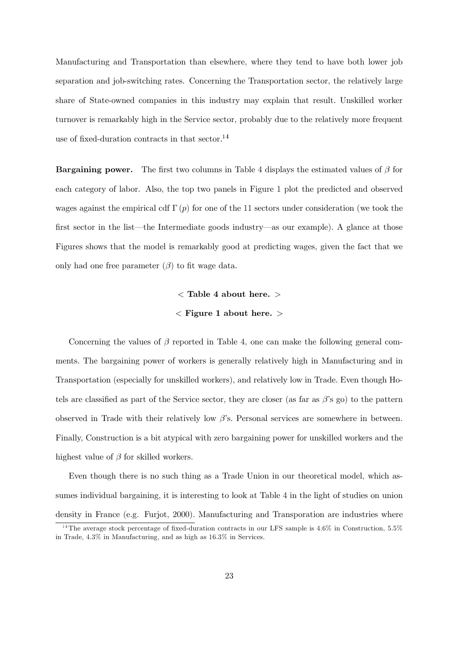Manufacturing and Transportation than elsewhere, where they tend to have both lower job separation and job-switching rates. Concerning the Transportation sector, the relatively large share of State-owned companies in this industry may explain that result. Unskilled worker turnover is remarkably high in the Service sector, probably due to the relatively more frequent use of fixed-duration contracts in that sector. $^{14}$ 

**Bargaining power.** The first two columns in Table 4 displays the estimated values of  $\beta$  for each category of labor. Also, the top two panels in Figure 1 plot the predicted and observed wages against the empirical cdf  $\Gamma(p)$  for one of the 11 sectors under consideration (we took the first sector in the list—the Intermediate goods industry—as our example). A glance at those Figures shows that the model is remarkably good at predicting wages, given the fact that we only had one free parameter  $(\beta)$  to fit wage data.

# $\langle$  Table 4 about here.  $>$  $\langle$  Figure 1 about here.  $>$

Concerning the values of  $\beta$  reported in Table 4, one can make the following general comments. The bargaining power of workers is generally relatively high in Manufacturing and in Transportation (especially for unskilled workers), and relatively low in Trade. Even though Hotels are classified as part of the Service sector, they are closer (as far as  $\beta$ 's go) to the pattern observed in Trade with their relatively low  $\beta$ 's. Personal services are somewhere in between. Finally, Construction is a bit atypical with zero bargaining power for unskilled workers and the highest value of  $\beta$  for skilled workers.

Even though there is no such thing as a Trade Union in our theoretical model, which assumes individual bargaining, it is interesting to look at Table 4 in the light of studies on union density in France (e.g. Furjot, 2000). Manufacturing and Transporation are industries where

<sup>&</sup>lt;sup>14</sup>The average stock percentage of fixed-duration contracts in our LFS sample is 4.6% in Construction, 5.5% in Trade,  $4.3\%$  in Manufacturing, and as high as  $16.3\%$  in Services.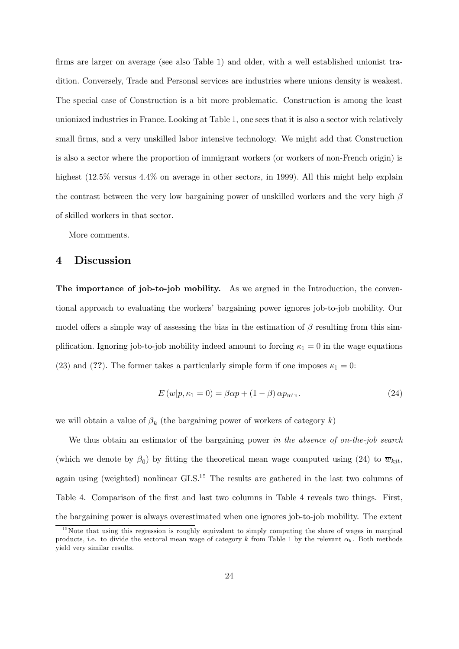firms are larger on average (see also Table 1) and older, with a well established unionist tradition. Conversely, Trade and Personal services are industries where unions density is weakest. The special case of Construction is a bit more problematic. Construction is among the least unionized industries in France. Looking at Table 1, one sees that it is also a sector with relatively small firms, and a very unskilled labor intensive technology. We might add that Construction is also a sector where the proportion of immigrant workers (or workers of non-French origin) is highest (12.5% versus 4.4% on average in other sectors, in 1999). All this might help explain the contrast between the very low bargaining power of unskilled workers and the very high  $\beta$ of skilled workers in that sector.

More comments.

### $\overline{4}$ **Discussion**

The importance of job-to-job mobility. As we argued in the Introduction, the conventional approach to evaluating the workers' bargaining power ignores job-to-job mobility. Our model offers a simple way of assessing the bias in the estimation of  $\beta$  resulting from this simplification. Ignoring job-to-job mobility indeed amount to forcing  $\kappa_1 = 0$  in the wage equations (23) and (??). The former takes a particularly simple form if one imposes  $\kappa_1 = 0$ :

$$
E(w|p, \kappa_1 = 0) = \beta \alpha p + (1 - \beta) \alpha p_{\min}.
$$
\n(24)

we will obtain a value of  $\beta_k$  (the bargaining power of workers of category k)

We thus obtain an estimator of the bargaining power in the absence of on-the-job search (which we denote by  $\beta_0$ ) by fitting the theoretical mean wage computed using (24) to  $\overline{w}_{kit}$ , again using (weighted) nonlinear  $GLS<sup>15</sup>$  The results are gathered in the last two columns of Table 4. Comparison of the first and last two columns in Table 4 reveals two things. First, the bargaining power is always overestimated when one ignores job-to-job mobility. The extent

 $15$ Note that using this regression is roughly equivalent to simply computing the share of wages in marginal products, i.e. to divide the sectoral mean wage of category k from Table 1 by the relevant  $\alpha_k$ . Both methods yield very similar results.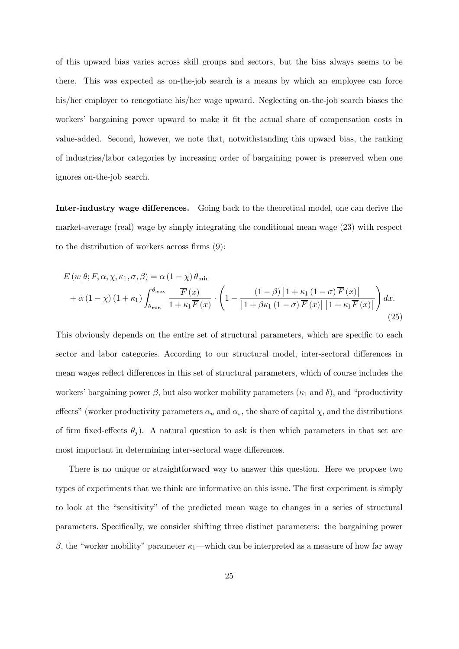of this upward bias varies across skill groups and sectors, but the bias always seems to be there. This was expected as on-the-job search is a means by which an employee can force his/her employer to renegotiate his/her wage upward. Neglecting on-the-job search biases the workers' bargaining power upward to make it fit the actual share of compensation costs in value-added. Second, however, we note that, notwithstanding this upward bias, the ranking of industries/labor categories by increasing order of bargaining power is preserved when one ignores on-the-job search.

Inter-industry wage differences. Going back to the theoretical model, one can derive the market-average (real) wage by simply integrating the conditional mean wage (23) with respect to the distribution of workers across firms  $(9)$ :

$$
E(w|\theta; F, \alpha, \chi, \kappa_1, \sigma, \beta) = \alpha (1 - \chi) \theta_{\min}
$$
  
+  $\alpha (1 - \chi) (1 + \kappa_1) \int_{\theta_{\min}}^{\theta_{\max}} \frac{\overline{F}(x)}{1 + \kappa_1 \overline{F}(x)} \cdot \left(1 - \frac{(1 - \beta) [1 + \kappa_1 (1 - \sigma) \overline{F}(x)]}{[1 + \beta \kappa_1 (1 - \sigma) \overline{F}(x)] [1 + \kappa_1 \overline{F}(x)]}\right) dx.$  (25)

This obviously depends on the entire set of structural parameters, which are specific to each sector and labor categories. According to our structural model, inter-sectoral differences in mean wages reflect differences in this set of structural parameters, which of course includes the workers' bargaining power  $\beta$ , but also worker mobility parameters ( $\kappa_1$  and  $\delta$ ), and "productivity effects" (worker productivity parameters  $\alpha_u$  and  $\alpha_s$ , the share of capital  $\chi$ , and the distributions of firm fixed-effects  $\theta_i$ ). A natural question to ask is then which parameters in that set are most important in determining inter-sectoral wage differences.

There is no unique or straightforward way to answer this question. Here we propose two types of experiments that we think are informative on this issue. The first experiment is simply to look at the "sensitivity" of the predicted mean wage to changes in a series of structural parameters. Specifically, we consider shifting three distinct parameters: the bargaining power  $\beta$ , the "worker mobility" parameter  $\kappa_1$ —which can be interpreted as a measure of how far away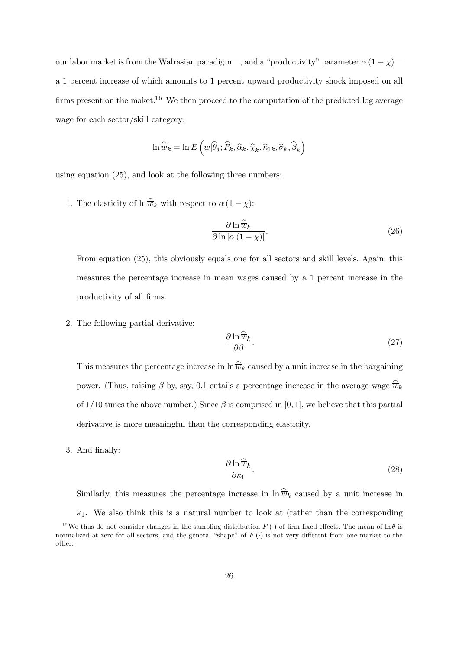our labor market is from the Walrasian paradigm—, and a "productivity" parameter  $\alpha (1 - \chi)$  a 1 percent increase of which amounts to 1 percent upward productivity shock imposed on all firms present on the maket.<sup>16</sup> We then proceed to the computation of the predicted log average wage for each sector/skill category:

$$
\ln \widehat{\overline{w}}_k = \ln E\left(w|\widehat{\theta}_j; \widehat{F}_k, \widehat{\alpha}_k, \widehat{\chi}_k, \widehat{\kappa}_{1k}, \widehat{\sigma}_k, \widehat{\beta}_k\right)
$$

using equation  $(25)$ , and look at the following three numbers:

1. The elasticity of  $\ln \widehat{\overline{w}}_k$  with respect to  $\alpha (1 - \chi)$ :

$$
\frac{\partial \ln \widehat{\overline{w}}_k}{\partial \ln \left[ \alpha \left( 1 - \chi \right) \right]}.
$$
\n(26)

From equation (25), this obviously equals one for all sectors and skill levels. Again, this measures the percentage increase in mean wages caused by a 1 percent increase in the productivity of all firms.

2. The following partial derivative:

$$
\frac{\partial \ln \widehat{w}_k}{\partial \beta}.
$$
\n(27)

This measures the percentage increase in  $\ln \widehat{\overline{w}}_k$  caused by a unit increase in the bargaining power. (Thus, raising  $\beta$  by, say, 0.1 entails a percentage increase in the average wage  $\hat{\overline{w}}_k$ of 1/10 times the above number.) Since  $\beta$  is comprised in [0, 1], we believe that this partial derivative is more meaningful than the corresponding elasticity.

3. And finally:

$$
\frac{\partial \ln \widehat{\overline{w}}_k}{\partial \kappa_1}.
$$
\n(28)

Similarly, this measures the percentage increase in  $\ln \widehat{w}_k$  caused by a unit increase in  $\kappa_1$ . We also think this is a natural number to look at (rather than the corresponding

<sup>&</sup>lt;sup>16</sup>We thus do not consider changes in the sampling distribution  $F(\cdot)$  of firm fixed effects. The mean of  $\ln \theta$  is normalized at zero for all sectors, and the general "shape" of  $F(\cdot)$  is not very different from one market to the other.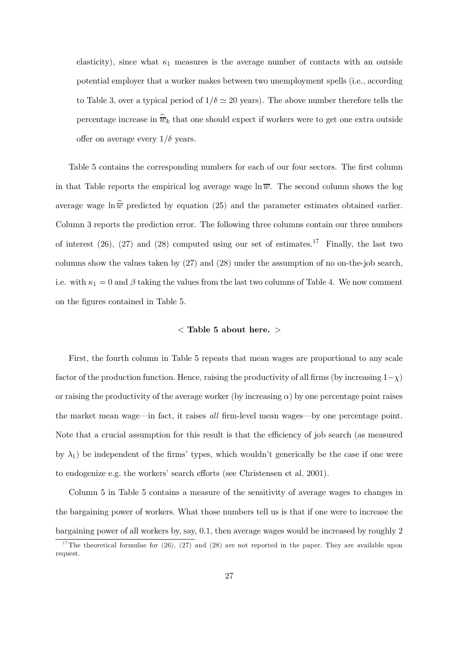elasticity), since what  $\kappa_1$  measures is the average number of contacts with an outside potential employer that a worker makes between two unemployment spells (i.e., according to Table 3, over a typical period of  $1/\delta \simeq 20$  years). The above number therefore tells the percentage increase in  $\widehat{\overline{w}}_k$  that one should expect if workers were to get one extra outside offer on average every  $1/\delta$  years.

Table 5 contains the corresponding numbers for each of our four sectors. The first column in that Table reports the empirical log average wage  $\ln \overline{w}$ . The second column shows the log average wage  $\ln \widehat{\overline{w}}$  predicted by equation (25) and the parameter estimates obtained earlier. Column 3 reports the prediction error. The following three columns contain our three numbers of interest  $(26)$ ,  $(27)$  and  $(28)$  computed using our set of estimates.<sup>17</sup> Finally, the last two columns show the values taken by  $(27)$  and  $(28)$  under the assumption of no on-the-job search, i.e. with  $\kappa_1 = 0$  and  $\beta$  taking the values from the last two columns of Table 4. We now comment on the figures contained in Table 5.

## $\langle$  Table 5 about here.  $>$

First, the fourth column in Table 5 repeats that mean wages are proportional to any scale factor of the production function. Hence, raising the productivity of all firms (by increasing  $1-\chi$ ) or raising the productivity of the average worker (by increasing  $\alpha$ ) by one percentage point raises the market mean wage—in fact, it raises all firm-level mean wages—by one percentage point. Note that a crucial assumption for this result is that the efficiency of job search (as measured by  $\lambda_1$ ) be independent of the firms' types, which wouldn't generically be the case if one were to endogenize e.g. the workers' search efforts (see Christensen et al, 2001).

Column 5 in Table 5 contains a measure of the sensitivity of average wages to changes in the bargaining power of workers. What those numbers tell us is that if one were to increase the bargaining power of all workers by, say, 0.1, then average wages would be increased by roughly 2

<sup>&</sup>lt;sup>17</sup>The theoretical formulae for (26), (27) and (28) are not reported in the paper. They are available upon request.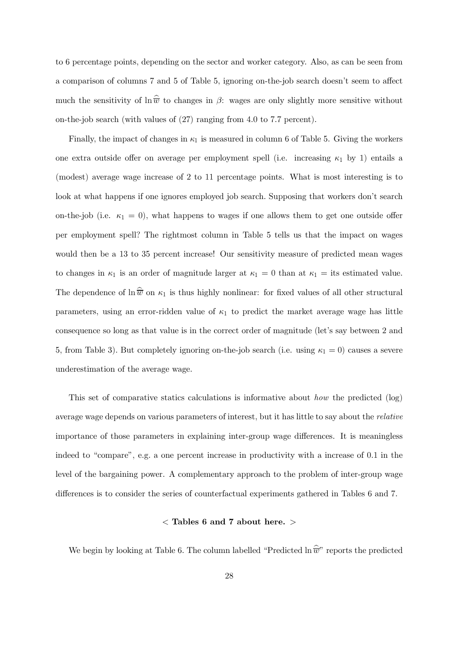to 6 percentage points, depending on the sector and worker category. Also, as can be seen from a comparison of columns 7 and 5 of Table 5, ignoring on-the-job search doesn't seem to affect much the sensitivity of  $\ln \widehat{\overline{w}}$  to changes in  $\beta$ : wages are only slightly more sensitive without on-the-job search (with values of  $(27)$  ranging from 4.0 to 7.7 percent).

Finally, the impact of changes in  $\kappa_1$  is measured in column 6 of Table 5. Giving the workers one extra outside offer on average per employment spell (i.e. increasing  $\kappa_1$  by 1) entails a (modest) average wage increase of 2 to 11 percentage points. What is most interesting is to look at what happens if one ignores employed job search. Supposing that workers don't search on-the-job (i.e.  $\kappa_1 = 0$ ), what happens to wages if one allows them to get one outside offer per employment spell? The rightmost column in Table 5 tells us that the impact on wages would then be a 13 to 35 percent increase! Our sensitivity measure of predicted mean wages to changes in  $\kappa_1$  is an order of magnitude larger at  $\kappa_1 = 0$  than at  $\kappa_1 =$  its estimated value. The dependence of  $\ln \widehat{\overline{w}}$  on  $\kappa_1$  is thus highly nonlinear: for fixed values of all other structural parameters, using an error-ridden value of  $\kappa_1$  to predict the market average wage has little consequence so long as that value is in the correct order of magnitude (let's say between 2 and 5, from Table 3). But completely ignoring on-the-job search (i.e. using  $\kappa_1 = 0$ ) causes a severe underestimation of the average wage.

This set of comparative statics calculations is informative about *how* the predicted (log) average wage depends on various parameters of interest, but it has little to say about the *relative* importance of those parameters in explaining inter-group wage differences. It is meaningless indeed to "compare", e.g. a one percent increase in productivity with a increase of 0.1 in the level of the bargaining power. A complementary approach to the problem of inter-group wage differences is to consider the series of counterfactual experiments gathered in Tables 6 and 7.

## $\langle$  Tables 6 and 7 about here.  $>$

We begin by looking at Table 6. The column labelled "Predicted  $\ln \widehat{\overline{w}}$ " reports the predicted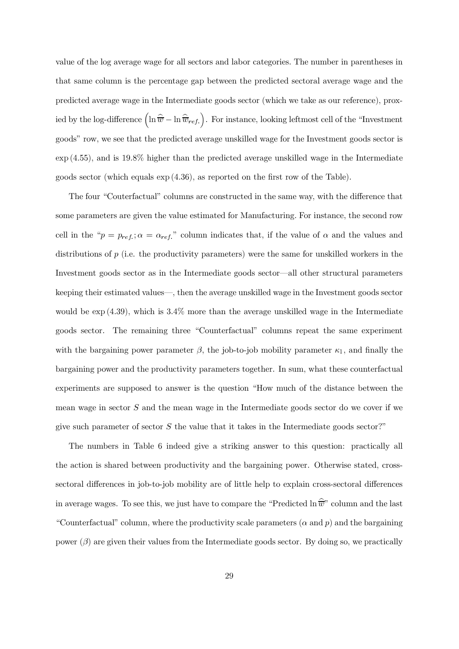value of the log average wage for all sectors and labor categories. The number in parentheses in that same column is the percentage gap between the predicted sectoral average wage and the predicted average wage in the Intermediate goods sector (which we take as our reference), proxied by the log-difference  $\left(\ln \widehat{\overline{w}} - \ln \widehat{\overline{w}}_{ref.}\right)$ . For instance, looking leftmost cell of the "Investment" goods" row, we see that the predicted average unskilled wage for the Investment goods sector is  $\exp(4.55)$ , and is 19.8% higher than the predicted average unskilled wage in the Intermediate goods sector (which equals  $\exp(4.36)$ , as reported on the first row of the Table).

The four "Couterfactual" columns are constructed in the same way, with the difference that some parameters are given the value estimated for Manufacturing. For instance, the second row cell in the " $p = p_{ref}$ ;  $\alpha = \alpha_{ref}$ " column indicates that, if the value of  $\alpha$  and the values and distributions of  $p$  (i.e. the productivity parameters) were the same for unskilled workers in the Investment goods sector as in the Intermediate goods sector—all other structural parameters keeping their estimated values—, then the average unskilled wage in the Investment goods sector would be  $\exp(4.39)$ , which is 3.4% more than the average unskilled wage in the Intermediate goods sector. The remaining three "Counterfactual" columns repeat the same experiment with the bargaining power parameter  $\beta$ , the job-to-job mobility parameter  $\kappa_1$ , and finally the bargaining power and the productivity parameters together. In sum, what these counterfactual experiments are supposed to answer is the question "How much of the distance between the mean wage in sector  $S$  and the mean wage in the Intermediate goods sector do we cover if we give such parameter of sector  $S$  the value that it takes in the Intermediate goods sector?"

The numbers in Table 6 indeed give a striking answer to this question: practically all the action is shared between productivity and the bargaining power. Otherwise stated, crosssectoral differences in job-to-job mobility are of little help to explain cross-sectoral differences in average wages. To see this, we just have to compare the "Predicted  $\ln \hat{\vec{w}}$ " column and the last "Counterfactual" column, where the productivity scale parameters  $(\alpha$  and p) and the bargaining power  $(\beta)$  are given their values from the Intermediate goods sector. By doing so, we practically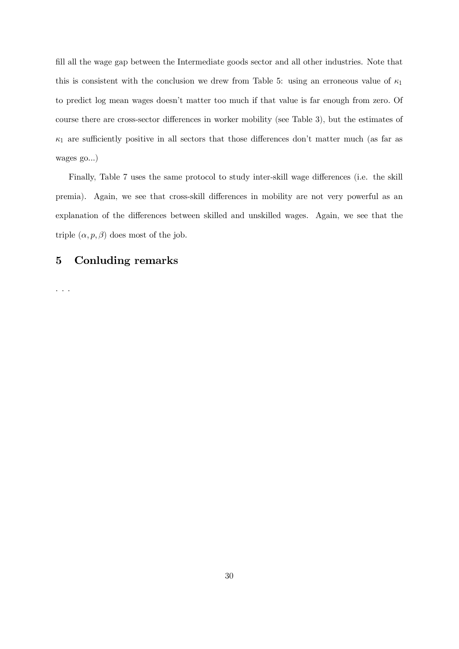fill all the wage gap between the Intermediate goods sector and all other industries. Note that this is consistent with the conclusion we drew from Table 5: using an erroneous value of  $\kappa_1$ to predict log mean wages doesn't matter too much if that value is far enough from zero. Of course there are cross-sector differences in worker mobility (see Table 3), but the estimates of  $\kappa_1$  are sufficiently positive in all sectors that those differences don't matter much (as far as wages  $go...$ )

Finally, Table 7 uses the same protocol to study inter-skill wage differences (i.e. the skill premia). Again, we see that cross-skill differences in mobility are not very powerful as an explanation of the differences between skilled and unskilled wages. Again, we see that the triple  $(\alpha, p, \beta)$  does most of the job.

### $\mathbf{5}$ **Conluding remarks**

 $\ldots$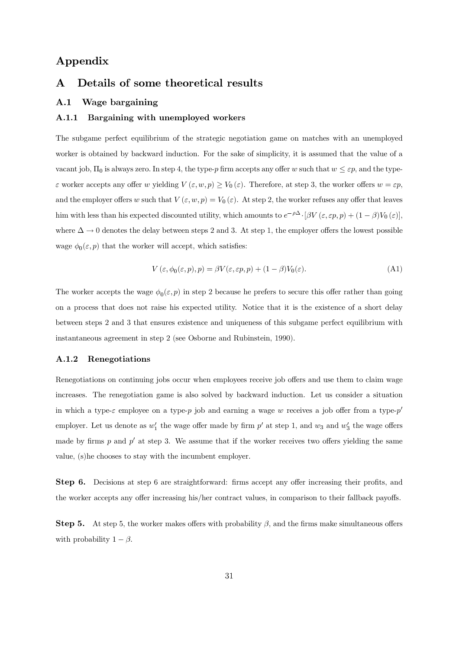## Appendix

### Details of some theoretical results  $\mathbf{A}$

### $A.1$ Wage bargaining

#### $A.1.1$ Bargaining with unemployed workers

The subgame perfect equilibrium of the strategic negotiation game on matches with an unemployed worker is obtained by backward induction. For the sake of simplicity, it is assumed that the value of a vacant job,  $\Pi_0$  is always zero. In step 4, the type-p firm accepts any offer w such that  $w \leq \varepsilon p$ , and the type- $\varepsilon$  worker accepts any offer w yielding  $V(\varepsilon, w, p) \geq V_0(\varepsilon)$ . Therefore, at step 3, the worker offers  $w = \varepsilon p$ , and the employer offers w such that  $V(\varepsilon, w, p) = V_0(\varepsilon)$ . At step 2, the worker refuses any offer that leaves him with less than his expected discounted utility, which amounts to  $e^{-\rho \Delta} \cdot [\beta V(\varepsilon, \varepsilon p, p) + (1 - \beta)V_0(\varepsilon)],$ where  $\Delta \rightarrow 0$  denotes the delay between steps 2 and 3. At step 1, the employer offers the lowest possible wage  $\phi_0(\varepsilon, p)$  that the worker will accept, which satisfies:

$$
V(\varepsilon, \phi_0(\varepsilon, p), p) = \beta V(\varepsilon, \varepsilon p, p) + (1 - \beta)V_0(\varepsilon).
$$
 (A1)

The worker accepts the wage  $\phi_0(\varepsilon, p)$  in step 2 because he prefers to secure this offer rather than going on a process that does not raise his expected utility. Notice that it is the existence of a short delay between steps 2 and 3 that ensures existence and uniqueness of this subgame perfect equilibrium with instantaneous agreement in step 2 (see Osborne and Rubinstein, 1990).

#### $A.1.2$ Renegotiations

Renegotiations on continuing jobs occur when employees receive job offers and use them to claim wage increases. The renegotiation game is also solved by backward induction. Let us consider a situation in which a type- $\varepsilon$  employee on a type-p job and earning a wage w receives a job offer from a type- $p'$ employer. Let us denote as  $w'_1$  the wage offer made by firm p' at step 1, and  $w_3$  and  $w'_3$  the wage offers made by firms p and p' at step 3. We assume that if the worker receives two offers yielding the same value, (s) he chooses to stay with the incumbent employer.

**Step 6.** Decisions at step 6 are straightforward: firms accept any offer increasing their profits, and the worker accepts any offer increasing his/her contract values, in comparison to their fallback payoffs.

**Step 5.** At step 5, the worker makes offers with probability  $\beta$ , and the firms make simultaneous offers with probability  $1 - \beta$ .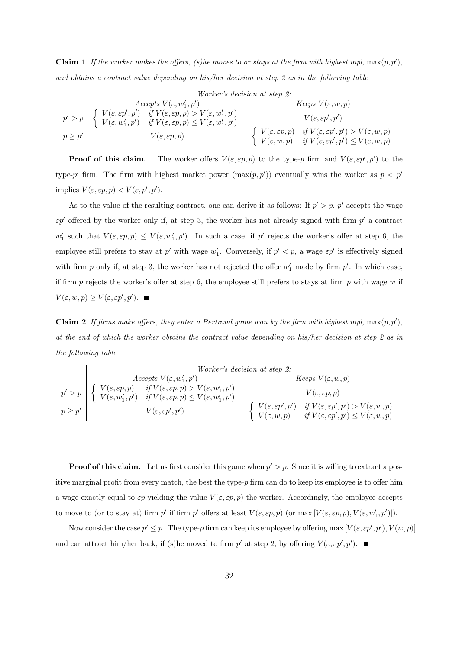**Claim 1** If the worker makes the offers, (s) he moves to or stays at the firm with highest mpl,  $\max(p, p')$ , and obtains a contract value depending on his/her decision at step 2 as in the following table

The worker offers  $V(\varepsilon, \varepsilon p, p)$  to the type-p firm and  $V(\varepsilon, \varepsilon p', p')$  to the Proof of this claim. type-p' firm. The firm with highest market power  $(\max(p, p'))$  eventually wins the worker as  $p < p'$ implies  $V(\varepsilon, \varepsilon p, p) < V(\varepsilon, p', p').$ 

As to the value of the resulting contract, one can derive it as follows: If  $p' > p$ , p' accepts the wage  $\varepsilon p'$  offered by the worker only if, at step 3, the worker has not already signed with firm  $p'$  a contract  $w'_1$  such that  $V(\varepsilon, \varepsilon p, p) \leq V(\varepsilon, w'_1, p')$ . In such a case, if p' rejects the worker's offer at step 6, the employee still prefers to stay at  $p'$  with wage  $w'_1$ . Conversely, if  $p' < p$ , a wage  $\varepsilon p'$  is effectively signed with firm p only if, at step 3, the worker has not rejected the offer  $w'_1$  made by firm p'. In which case, if firm p rejects the worker's offer at step 6, the employee still prefers to stays at firm p with wage  $w$  if  $V(\varepsilon, w, p) \ge V(\varepsilon, \varepsilon p', p').$ 

**Claim 2** If firms make offers, they enter a Bertrand game won by the firm with highest mpl,  $\max(p, p')$ , at the end of which the worker obtains the contract value depending on his/her decision at step 2 as in the following table

|             |                                                                                                                                                                                                                                                                                                                           | Worker's decision at step 2:                                                                                                                                                                                                                                                            |
|-------------|---------------------------------------------------------------------------------------------------------------------------------------------------------------------------------------------------------------------------------------------------------------------------------------------------------------------------|-----------------------------------------------------------------------------------------------------------------------------------------------------------------------------------------------------------------------------------------------------------------------------------------|
|             | Accepts $V(\varepsilon, w'_1, p')$                                                                                                                                                                                                                                                                                        | <i>Keeps</i> $V(\varepsilon, w, p)$                                                                                                                                                                                                                                                     |
| $p \geq p'$ | $p' > p \left[ \begin{array}{cc} V(\varepsilon, \varepsilon p, p) & \overline{if} \ V(\varepsilon, \varepsilon p, p) > V(\varepsilon, w_1', p') \\ V(\varepsilon, w_1', p') & \overline{if} \ V(\varepsilon, \varepsilon p, p) \leq V(\varepsilon, w_1', p') \end{array} \right]$<br>$V(\varepsilon, \varepsilon p', p')$ | $V(\varepsilon, \varepsilon p, p)$<br>$\left\{\begin{array}{ll} V(\varepsilon,\varepsilon p',p') & \textit{if } V(\varepsilon,\varepsilon p',p') > V(\varepsilon,w,p) \\ V(\varepsilon,w,p) & \textit{if } V(\varepsilon,\varepsilon p',p') \leq V(\varepsilon,w,p) \end{array}\right.$ |
|             |                                                                                                                                                                                                                                                                                                                           |                                                                                                                                                                                                                                                                                         |

**Proof of this claim.** Let us first consider this game when  $p' > p$ . Since it is willing to extract a positive marginal profit from every match, the best the type- $p$  firm can do to keep its employee is to offer him a wage exactly equal to  $\varepsilon p$  yielding the value  $V(\varepsilon, \varepsilon p, p)$  the worker. Accordingly, the employee accepts to move to (or to stay at) firm p' if firm p' offers at least  $V(\varepsilon, \varepsilon p, p)$  (or  $\max[V(\varepsilon, \varepsilon p, p), V(\varepsilon, w_1', p')].$ 

Now consider the case  $p' \leq p$ . The type-p firm can keep its employee by offering max  $[V(\varepsilon, \varepsilon p', p'), V(w, p)]$ and can attract him/her back, if (s)he moved to firm  $p'$  at step 2, by offering  $V(\varepsilon, \varepsilon p', p')$ .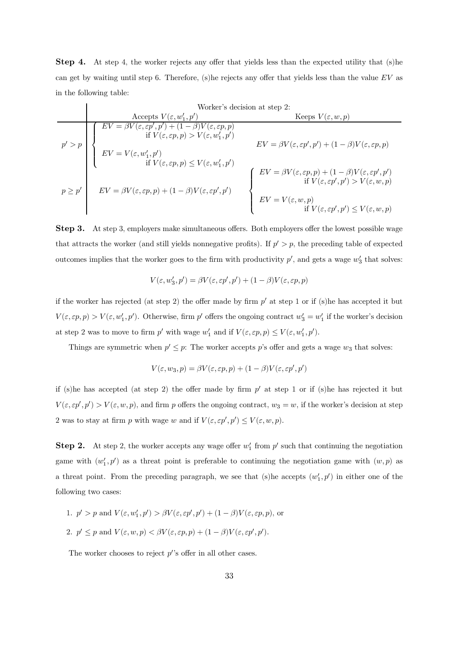**Step 4.** At step 4, the worker rejects any offer that yields less than the expected utility that (s) he can get by waiting until step 6. Therefore, (s) he rejects any offer that yields less than the value  $EV$  as in the following table:

|             |                                                                                                                                                                                                                                                                                       | Worker's decision at step 2:                                                                                                                                                                                                                                       |
|-------------|---------------------------------------------------------------------------------------------------------------------------------------------------------------------------------------------------------------------------------------------------------------------------------------|--------------------------------------------------------------------------------------------------------------------------------------------------------------------------------------------------------------------------------------------------------------------|
|             | Accepts $V(\varepsilon, w'_1, p')$                                                                                                                                                                                                                                                    | Keeps $V(\varepsilon, w, p)$                                                                                                                                                                                                                                       |
|             | $\overline{EV} = \beta V(\varepsilon, \varepsilon p', p') + (1 - \beta)V(\varepsilon, \varepsilon p, p)$<br>if $V(\varepsilon, \varepsilon p, p) > V(\varepsilon, w'_1, p')$<br>$EV = V(\varepsilon, w'_1, p')$<br>if $V(\varepsilon, \varepsilon p, p) \le V(\varepsilon, w'_1, p')$ | $EV = \beta V(\varepsilon, \varepsilon p', p') + (1 - \beta)V(\varepsilon, \varepsilon p, p)$                                                                                                                                                                      |
| $p \geq p'$ | $EV=\beta V(\varepsilon,\varepsilon p,p)+(1-\beta)V(\varepsilon,\varepsilon p',p')$                                                                                                                                                                                                   | $EV = \beta V(\varepsilon, \varepsilon p, p) + (1 - \beta)V(\varepsilon, \varepsilon p', p')$<br>if $V(\varepsilon, \varepsilon p', p') > V(\varepsilon, w, p)$<br>$EV = V(\varepsilon, w, p)$<br>if $V(\varepsilon, \varepsilon p', p') \le V(\varepsilon, w, p)$ |

**Step 3.** At step 3, employers make simultaneous offers. Both employers offer the lowest possible wage that attracts the worker (and still yields nonnegative profits). If  $p' > p$ , the preceding table of expected outcomes implies that the worker goes to the firm with productivity  $p'$ , and gets a wage  $w'_3$  that solves:

$$
V(\varepsilon, w_3', p') = \beta V(\varepsilon, \varepsilon p', p') + (1 - \beta)V(\varepsilon, \varepsilon p, p)
$$

if the worker has rejected (at step 2) the offer made by firm  $p'$  at step 1 or if (s) he has accepted it but  $V(\varepsilon, \varepsilon p, p) > V(\varepsilon, w'_1, p')$ . Otherwise, firm p' offers the ongoing contract  $w'_3 = w'_1$  if the worker's decision at step 2 was to move to firm  $p'$  with wage  $w'_1$  and if  $V(\varepsilon, \varepsilon p, p) \le V(\varepsilon, w'_1, p').$ 

Things are symmetric when  $p' \leq p$ : The worker accepts p's offer and gets a wage  $w_3$  that solves:

$$
V(\varepsilon, w_3, p) = \beta V(\varepsilon, \varepsilon p, p) + (1 - \beta)V(\varepsilon, \varepsilon p', p')
$$

if (s)he has accepted (at step 2) the offer made by firm  $p'$  at step 1 or if (s)he has rejected it but  $V(\varepsilon, \varepsilon p', p') > V(\varepsilon, w, p)$ , and firm p offers the ongoing contract,  $w_3 = w$ , if the worker's decision at step 2 was to stay at firm p with wage w and if  $V(\varepsilon, \varepsilon p', p') \le V(\varepsilon, w, p)$ .

**Step 2.** At step 2, the worker accepts any wage offer  $w'_1$  from  $p'$  such that continuing the negotiation game with  $(w'_1, p')$  as a threat point is preferable to continuing the negotiation game with  $(w, p)$  as a threat point. From the preceding paragraph, we see that (s) he accepts  $(w'_1, p')$  in either one of the following two cases:

\n- 1. 
$$
p' > p
$$
 and  $V(\varepsilon, w_1', p') > \beta V(\varepsilon, \varepsilon p', p') + (1 - \beta)V(\varepsilon, \varepsilon p, p)$ , or
\n- 2.  $p' \leq p$  and  $V(\varepsilon, w, p) < \beta V(\varepsilon, \varepsilon p, p) + (1 - \beta)V(\varepsilon, \varepsilon p', p')$ .
\n

The worker chooses to reject  $p''s$  offer in all other cases.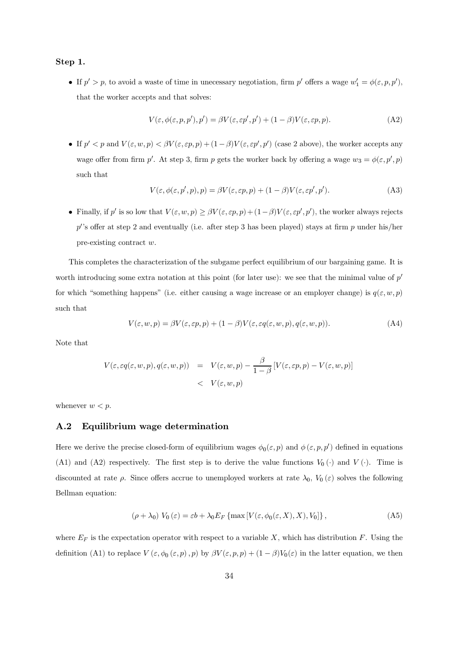### Step 1.

• If  $p' > p$ , to avoid a waste of time in unecessary negotiation, firm  $p'$  offers a wage  $w'_1 = \phi(\varepsilon, p, p')$ , that the worker accepts and that solves:

$$
V(\varepsilon, \phi(\varepsilon, p, p'), p') = \beta V(\varepsilon, \varepsilon p', p') + (1 - \beta)V(\varepsilon, \varepsilon p, p). \tag{A2}
$$

• If  $p' < p$  and  $V(\varepsilon, w, p) < \beta V(\varepsilon, \varepsilon p, p) + (1 - \beta)V(\varepsilon, \varepsilon p', p')$  (case 2 above), the worker accepts any wage offer from firm p'. At step 3, firm p gets the worker back by offering a wage  $w_3 = \phi(\varepsilon, p', p)$ such that

$$
V(\varepsilon, \phi(\varepsilon, p', p), p) = \beta V(\varepsilon, \varepsilon p, p) + (1 - \beta)V(\varepsilon, \varepsilon p', p').
$$
\n(A3)

• Finally, if p' is so low that  $V(\varepsilon, w, p) \ge \beta V(\varepsilon, \varepsilon p, p) + (1 - \beta)V(\varepsilon, \varepsilon p', p')$ , the worker always rejects p's offer at step 2 and eventually (i.e. after step 3 has been played) stays at firm p under his/her pre-existing contract  $w$ .

This completes the characterization of the subgame perfect equilibrium of our bargaining game. It is worth introducing some extra notation at this point (for later use): we see that the minimal value of  $p'$ for which "something happens" (i.e. either causing a wage increase or an employer change) is  $q(\varepsilon, w, p)$ such that

$$
V(\varepsilon, w, p) = \beta V(\varepsilon, \varepsilon p, p) + (1 - \beta)V(\varepsilon, \varepsilon q(\varepsilon, w, p), q(\varepsilon, w, p)).
$$
\n(A4)

Note that

$$
V(\varepsilon, \varepsilon q(\varepsilon, w, p), q(\varepsilon, w, p)) = V(\varepsilon, w, p) - \frac{\beta}{1 - \beta} \left[ V(\varepsilon, \varepsilon p, p) - V(\varepsilon, w, p) \right]
$$
  
< 
$$
< V(\varepsilon, w, p)
$$

whenever  $w < p$ .

### Equilibrium wage determination  $A.2$

Here we derive the precise closed-form of equilibrium wages  $\phi_0(\varepsilon, p)$  and  $\phi(\varepsilon, p, p')$  defined in equations (A1) and (A2) respectively. The first step is to derive the value functions  $V_0(\cdot)$  and  $V(\cdot)$ . Time is discounted at rate  $\rho$ . Since offers accrue to unemployed workers at rate  $\lambda_0$ ,  $V_0(\varepsilon)$  solves the following Bellman equation:

$$
(\rho + \lambda_0) V_0(\varepsilon) = \varepsilon b + \lambda_0 E_F \left\{ \max \left[ V(\varepsilon, \phi_0(\varepsilon, X), X), V_0 \right] \right\},\tag{A5}
$$

where  $E_F$  is the expectation operator with respect to a variable X, which has distribution F. Using the definition (A1) to replace  $V(\varepsilon, \phi_0(\varepsilon, p), p)$  by  $\beta V(\varepsilon, p, p) + (1 - \beta)V_0(\varepsilon)$  in the latter equation, we then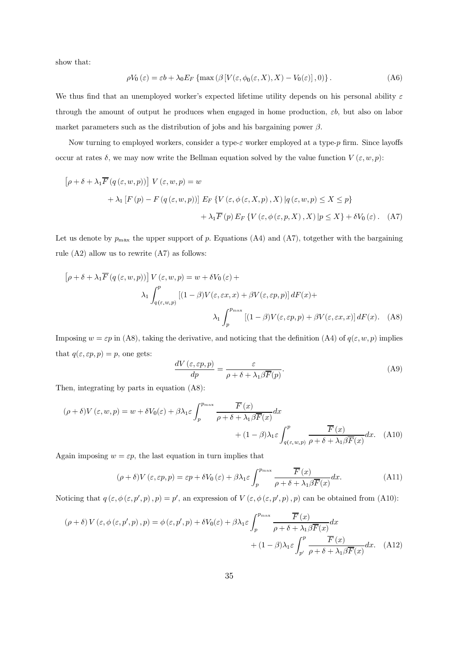show that:

$$
\rho V_0(\varepsilon) = \varepsilon b + \lambda_0 E_F \left\{ \max \left( \beta \left[ V(\varepsilon, \phi_0(\varepsilon, X), X) - V_0(\varepsilon) \right], 0 \right) \right\}. \tag{A6}
$$

We thus find that an unemployed worker's expected lifetime utility depends on his personal ability  $\varepsilon$ through the amount of output he produces when engaged in home production,  $\varepsilon b$ , but also on labor market parameters such as the distribution of jobs and his bargaining power  $\beta$ .

Now turning to employed workers, consider a type- $\varepsilon$  worker employed at a type- $p$  firm. Since layoffs occur at rates  $\delta$ , we may now write the Bellman equation solved by the value function  $V(\varepsilon, w, p)$ :

$$
[\rho + \delta + \lambda_1 \overline{F}(q(\varepsilon, w, p))] V(\varepsilon, w, p) = w
$$
  
+  $\lambda_1 [F(p) - F(q(\varepsilon, w, p))] E_F \{V(\varepsilon, \phi(\varepsilon, X, p), X) | q(\varepsilon, w, p) \le X \le p\}$   
+  $\lambda_1 \overline{F}(p) E_F \{V(\varepsilon, \phi(\varepsilon, p, X), X) | p \le X\} + \delta V_0(\varepsilon).$  (A7)

Let us denote by  $p_{\text{max}}$  the upper support of p. Equations (A4) and (A7), totgether with the bargaining rule  $(A2)$  allow us to rewrite  $(A7)$  as follows:

$$
\left[\rho + \delta + \lambda_1 \overline{F} \left( q \left( \varepsilon, w, p \right) \right) \right] V \left( \varepsilon, w, p \right) = w + \delta V_0 \left( \varepsilon \right) +
$$
\n
$$
\lambda_1 \int_{q \left( \varepsilon, w, p \right)}^p \left[ (1 - \beta) V(\varepsilon, \varepsilon x, x) + \beta V(\varepsilon, \varepsilon p, p) \right] dF(x) +
$$
\n
$$
\lambda_1 \int_p^{p_{\text{max}}} \left[ (1 - \beta) V(\varepsilon, \varepsilon p, p) + \beta V(\varepsilon, \varepsilon x, x) \right] dF(x). \tag{A8}
$$

Imposing  $w = \varepsilon p$  in (A8), taking the derivative, and noticing that the definition (A4) of  $q(\varepsilon, w, p)$  implies that  $q(\varepsilon, \varepsilon p, p) = p$ , one gets:

$$
\frac{dV(\varepsilon, \varepsilon p, p)}{dp} = \frac{\varepsilon}{\rho + \delta + \lambda_1 \beta \overline{F}(p)}.
$$
\n(A9)

Then, integrating by parts in equation  $($ A8):

$$
(\rho + \delta)V(\varepsilon, w, p) = w + \delta V_0(\varepsilon) + \beta \lambda_1 \varepsilon \int_p^{p_{\text{max}}} \frac{\overline{F}(x)}{\rho + \delta + \lambda_1 \beta \overline{F}(x)} dx + (1 - \beta) \lambda_1 \varepsilon \int_{q(\varepsilon, w, p)}^p \frac{\overline{F}(x)}{\rho + \delta + \lambda_1 \beta \overline{F}(x)} dx.
$$
 (A10)

Again imposing  $w = \varepsilon p$ , the last equation in turn implies that

$$
(\rho + \delta)V(\varepsilon, \varepsilon p, p) = \varepsilon p + \delta V_0(\varepsilon) + \beta \lambda_1 \varepsilon \int_p^{p_{\text{max}}} \frac{\overline{F}(x)}{\rho + \delta + \lambda_1 \beta \overline{F}(x)} dx.
$$
 (A11)

Noticing that  $q(\varepsilon, \phi(\varepsilon, p', p), p) = p'$ , an expression of  $V(\varepsilon, \phi(\varepsilon, p', p), p)$  can be obtained from (A10):

$$
(\rho + \delta) V(\varepsilon, \phi(\varepsilon, p', p), p) = \phi(\varepsilon, p', p) + \delta V_0(\varepsilon) + \beta \lambda_1 \varepsilon \int_p^{p_{\text{max}}} \frac{\overline{F}(x)}{\rho + \delta + \lambda_1 \beta \overline{F}(x)} dx + (1 - \beta) \lambda_1 \varepsilon \int_{p'}^p \frac{\overline{F}(x)}{\rho + \delta + \lambda_1 \beta \overline{F}(x)} dx.
$$
 (A12)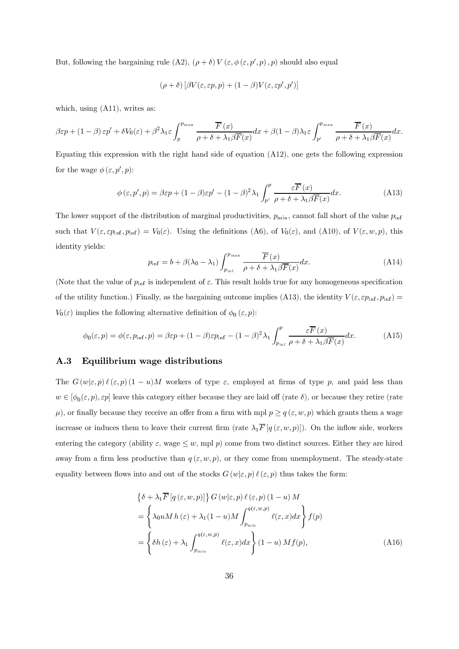But, following the bargaining rule (A2),  $(\rho + \delta) V(\varepsilon, \phi(\varepsilon, p', p), p)$  should also equal

$$
(\rho + \delta) [\beta V(\varepsilon, \varepsilon p, p) + (1 - \beta)V(\varepsilon, \varepsilon p', p')]
$$

which, using  $(A11)$ , writes as:

$$
\beta \varepsilon p + (1 - \beta) \varepsilon p' + \delta V_0(\varepsilon) + \beta^2 \lambda_1 \varepsilon \int_p^{p_{\text{max}}} \frac{\overline{F}(x)}{\rho + \delta + \lambda_1 \beta \overline{F}(x)} dx + \beta (1 - \beta) \lambda_1 \varepsilon \int_{p'}^{p_{\text{max}}} \frac{\overline{F}(x)}{\rho + \delta + \lambda_1 \beta \overline{F}(x)} dx.
$$

Equating this expression with the right hand side of equation  $(A12)$ , one gets the following expression for the wage  $\phi(\varepsilon, p', p)$ :

$$
\phi(\varepsilon, p', p) = \beta \varepsilon p + (1 - \beta)\varepsilon p' - (1 - \beta)^2 \lambda_1 \int_{p'}^p \frac{\varepsilon \overline{F}(x)}{\rho + \delta + \lambda_1 \beta \overline{F}(x)} dx.
$$
 (A13)

The lower support of the distribution of marginal productivities,  $p_{\min}$ , cannot fall short of the value  $p_{\inf}$ such that  $V(\varepsilon, \varepsilon p_{\text{inf}}, p_{\text{inf}}) = V_0(\varepsilon)$ . Using the definitions (A6), of  $V_0(\varepsilon)$ , and (A10), of  $V(\varepsilon, w, p)$ , this identity yields:

$$
p_{\inf} = b + \beta(\lambda_0 - \lambda_1) \int_{p_{\inf}}^{p_{\max}} \frac{\overline{F}(x)}{\rho + \delta + \lambda_1 \beta \overline{F}(x)} dx.
$$
 (A14)

(Note that the value of  $p_{\text{inf}}$  is independent of  $\varepsilon$ . This result holds true for any homogeneous specification of the utility function.) Finally, as the bargaining outcome implies (A13), the identity  $V(\varepsilon, \varepsilon p_{\text{inf}}, p_{\text{inf}}) =$  $V_0(\varepsilon)$  implies the following alternative definition of  $\phi_0(\varepsilon, p)$ :

$$
\phi_0(\varepsilon, p) = \phi(\varepsilon, p_{\inf}, p) = \beta \varepsilon p + (1 - \beta) \varepsilon p_{\inf} - (1 - \beta)^2 \lambda_1 \int_{p_{\inf}}^p \frac{\varepsilon \overline{F}(x)}{\rho + \delta + \lambda_1 \beta \overline{F}(x)} dx.
$$
 (A15)

### $A.3$ Equilibrium wage distributions

The  $G(w|\varepsilon, p)$   $\ell(\varepsilon, p)$   $(1-u)M$  workers of type  $\varepsilon$ , employed at firms of type p, and paid less than  $w \in [\phi_0(\varepsilon, p), \varepsilon p]$  leave this category either because they are laid off (rate  $\delta$ ), or because they retire (rate  $\mu$ ), or finally because they receive an offer from a firm with mpl  $p \ge q(\varepsilon, w, p)$  which grants them a wage increase or induces them to leave their current firm (rate  $\lambda_1 \overline{F} [q(\varepsilon, w, p)]$ ). On the inflow side, workers entering the category (ability  $\varepsilon$ , wage  $\leq w$ , mpl p) come from two distinct sources. Either they are hired away from a firm less productive than  $q(\varepsilon, w, p)$ , or they come from unemployment. The steady-state equality between flows into and out of the stocks  $G(w|\varepsilon, p) \ell(\varepsilon, p)$  thus takes the form:

$$
\begin{aligned}\n\{\delta + \lambda_1 \overline{F} \left[ q \left( \varepsilon, w, p \right) \right] \} G \left( w | \varepsilon, p \right) \ell \left( \varepsilon, p \right) (1 - u) M \\
= \left\{ \lambda_0 u M h \left( \varepsilon \right) + \lambda_1 (1 - u) M \int_{p_{\min}}^{q \left( \varepsilon, w, p \right)} \ell(\varepsilon, x) dx \right\} f(p) \\
= \left\{ \delta h \left( \varepsilon \right) + \lambda_1 \int_{p_{\min}}^{q \left( \varepsilon, w, p \right)} \ell(\varepsilon, x) dx \right\} (1 - u) M f(p),\n\end{aligned} \tag{A16}
$$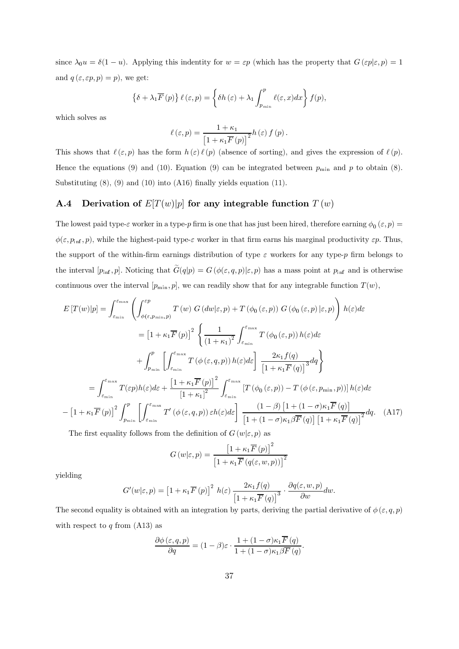since  $\lambda_0 u = \delta(1-u)$ . Applying this indentity for  $w = \varepsilon p$  (which has the property that  $G(\varepsilon p | \varepsilon, p) = 1$ and  $q(\varepsilon, \varepsilon p, p) = p$ , we get:

$$
\left\{\delta + \lambda_1 \overline{F}(p)\right\} \ell\left(\varepsilon, p\right) = \left\{\delta h\left(\varepsilon\right) + \lambda_1 \int_{p_{\min}}^p \ell\left(\varepsilon, x\right) dx\right\} f(p),
$$

which solves as

$$
\ell(\varepsilon, p) = \frac{1 + \kappa_1}{\left[1 + \kappa_1 \overline{F}(p)\right]^2} h(\varepsilon) f(p).
$$

This shows that  $\ell(\varepsilon, p)$  has the form  $h(\varepsilon) \ell(p)$  (absence of sorting), and gives the expression of  $\ell(p)$ . Hence the equations (9) and (10). Equation (9) can be integrated between  $p_{\min}$  and p to obtain (8). Substituting  $(8)$ ,  $(9)$  and  $(10)$  into  $(A16)$  finally yields equation  $(11)$ .

### Derivation of  $E[T(w)|p]$  for any integrable function  $T(w)$  $A.4$

The lowest paid type- $\varepsilon$  worker in a type-p firm is one that has just been hired, therefore earning  $\phi_0(\varepsilon, p)$  =  $\phi(\varepsilon, p_{\inf}, p)$ , while the highest-paid type- $\varepsilon$  worker in that firm earns his marginal productivity  $\varepsilon p$ . Thus, the support of the within-firm earnings distribution of type  $\varepsilon$  workers for any type-p firm belongs to the interval  $[p_{\text{inf}}, p]$ . Noticing that  $\tilde{G}(q|p) = G(\phi(\varepsilon, q, p)|\varepsilon, p)$  has a mass point at  $p_{\text{inf}}$  and is otherwise continuous over the interval  $[p_{\min}, p]$ , we can readily show that for any integrable function  $T(w)$ ,

$$
E\left[T(w)|p\right] = \int_{\varepsilon_{\min}}^{\varepsilon_{\max}} \left( \int_{\phi(\varepsilon, p_{\min}, p)}^{\varepsilon_p} T(w) G\left(dw|\varepsilon, p\right) + T\left(\phi_0(\varepsilon, p)\right) G\left(\phi_0(\varepsilon, p)|\varepsilon, p\right) \right) h(\varepsilon) d\varepsilon
$$
  
\n
$$
= \left[1 + \kappa_1 \overline{F}(p)\right]^2 \left\{ \frac{1}{\left(1 + \kappa_1\right)^2} \int_{\varepsilon_{\min}}^{\varepsilon_{\max}} T\left(\phi_0(\varepsilon, p)\right) h(\varepsilon) d\varepsilon + \int_{p_{\min}}^p \left[ \int_{\varepsilon_{\min}}^{\varepsilon_{\max}} T\left(\phi(\varepsilon, q, p)\right) h(\varepsilon) d\varepsilon \right] \frac{2\kappa_1 f(q)}{\left[1 + \kappa_1 \overline{F}(q)\right]^3} dq \right\}
$$
  
\n
$$
= \int_{\varepsilon_{\min}}^{\varepsilon_{\max}} T(\varepsilon_p) h(\varepsilon) d\varepsilon + \frac{\left[1 + \kappa_1 \overline{F}(p)\right]^2}{\left[1 + \kappa_1\right]^2} \int_{\varepsilon_{\min}}^{\varepsilon_{\max}} \left[ T\left(\phi_0(\varepsilon, p)\right) - T\left(\phi(\varepsilon, p_{\min}, p)\right) \right] h(\varepsilon) d\varepsilon
$$
  
\n
$$
- \left[1 + \kappa_1 \overline{F}(p)\right]^2 \int_{p_{\min}}^p \left[ \int_{\varepsilon_{\min}}^{\varepsilon_{\max}} T'\left(\phi(\varepsilon, q, p)\right) \varepsilon h(\varepsilon) d\varepsilon \right] \frac{\left(1 - \beta\right) \left[1 + \left(1 - \sigma\right) \kappa_1 \overline{F}(q)\right]}{\left[1 + \left(1 - \sigma\right) \kappa_1 \overline{\beta F}(q)\right] \left[1 + \kappa_1 \overline{F}(q)\right]^2} dq. \tag{A17}
$$

The first equality follows from the definition of  $G(w|\varepsilon, p)$  as

$$
G(w|\varepsilon, p) = \frac{\left[1 + \kappa_1 \overline{F}(p)\right]^2}{\left[1 + \kappa_1 \overline{F}(q(\varepsilon, w, p))\right]^2}
$$

yielding

$$
G'(w|\varepsilon,p) = \left[1 + \kappa_1 \overline{F}(p)\right]^2 h(\varepsilon) \frac{2\kappa_1 f(q)}{\left[1 + \kappa_1 \overline{F}(q)\right]^3} \cdot \frac{\partial q(\varepsilon, w, p)}{\partial w} dw.
$$

The second equality is obtained with an integration by parts, deriving the partial derivative of  $\phi(\varepsilon, q, p)$ with respect to  $q$  from (A13) as

$$
\frac{\partial \phi\left(\varepsilon, q, p\right)}{\partial q} = (1 - \beta)\varepsilon \cdot \frac{1 + (1 - \sigma)\kappa_1 \overline{F}\left(q\right)}{1 + (1 - \sigma)\kappa_1 \beta \overline{F}\left(q\right)}
$$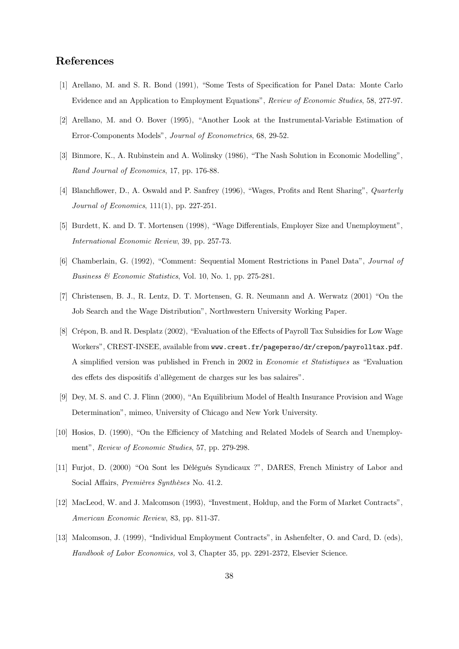## **References**

- [1] Arellano, M. and S. R. Bond (1991), "Some Tests of Specification for Panel Data: Monte Carlo Evidence and an Application to Employment Equations". Review of Economic Studies, 58, 277-97.
- [2] Arellano, M. and O. Bover (1995), "Another Look at the Instrumental-Variable Estimation of Error-Components Models", *Journal of Econometrics*, 68, 29-52.
- [3] Binmore, K., A. Rubinstein and A. Wolinsky (1986), "The Nash Solution in Economic Modelling". Rand Journal of Economics, 17, pp. 176-88.
- [4] Blanchflower, D., A. Oswald and P. Sanfrey (1996), "Wages, Profits and Rent Sharing", *Quarterly*  $Journal of Economics, 111(1), pp. 227-251.$
- [5] Burdett, K, and D, T, Mortensen (1998), "Wage Differentials, Employer Size and Unemployment". International Economic Review, 39, pp. 257-73.
- [6] Chamberlain, G. (1992), "Comment: Sequential Moment Restrictions in Panel Data", Journal of Business  $\mathcal{C}$  Economic Statistics, Vol. 10, No. 1, pp. 275-281.
- [7] Christensen, B. J., R. Lentz, D. T. Mortensen, G. R. Neumann and A. Werwatz (2001) "On the Job Search and the Wage Distribution". Northwestern University Working Paper.
- [8] Crépon, B. and R. Desplatz (2002). "Evaluation of the Effects of Payroll Tax Subsidies for Low Wage Workers". CREST-INSEE. available from www.crest.fr/pageperso/dr/crepon/payrolltax.pdf. A simplified version was published in French in 2002 in *Economie et Statistiques* as "Evaluation" des effets des dispositifs d'allègement de charges sur les bas salaires".
- [9] Dev, M. S. and C. J. Flinn (2000), "An Equilibrium Model of Health Insurance Provision and Wage Determination", mimeo, University of Chicago and New York University.
- [10] Hosios, D. (1990). "On the Efficiency of Matching and Related Models of Search and Unemployment", Review of Economic Studies, 57, pp. 279-298.
- [11] Furiot, D. (2000) "Où Sont les Délégués Syndicaux ?", DARES, French Ministry of Labor and Social Affairs, *Premières Sunthèses* No. 41.2.
- [12] MacLeod, W. and J. Malcomson (1993). "Investment, Holdup, and the Form of Market Contracts". American Economic Review, 83, pp. 811-37.
- [13] Malcomson, J. (1999), "Individual Employment Contracts", in Ashenfelter, O. and Card, D. (eds), Handbook of Labor Economics, vol 3, Chapter 35, pp. 2291-2372, Elsevier Science.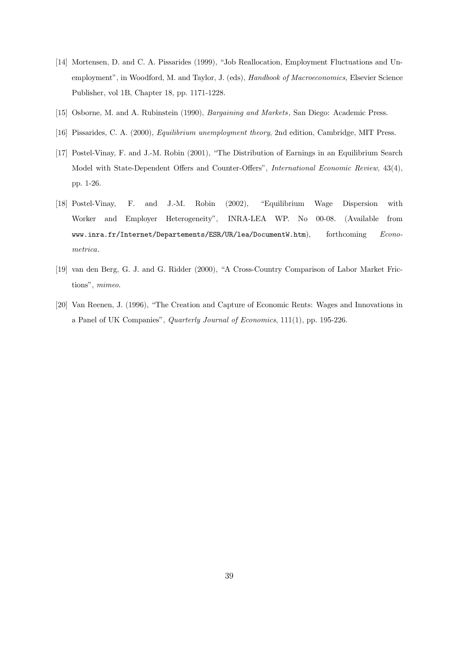- [14] Mortensen, D. and C. A. Pissarides (1999), "Job Reallocation, Employment Fluctuations and Unemployment", in Woodford, M. and Taylor, J. (eds), *Handbook of Macroeconomics*, Elsevier Science Publisher, vol 1B, Chapter 18, pp. 1171-1228.
- [15] Osborne, M. and A. Rubinstein (1990), *Bargaining and Markets*, San Diego: Academic Press.
- [16] Pissarides, C. A. (2000), *Equilibrium unemployment theory*, 2nd edition, Cambridge, MIT Press.
- [17] Postel-Vinay, F. and J.-M. Robin (2001), "The Distribution of Earnings in an Equilibrium Search Model with State-Dependent Offers and Counter-Offers", *International Economic Review*, 43(4), pp. 1-26.
- [18] Postel-Vina F. and J.-M. Robin (2002), "Equilibrium Wage Dispersion with Worker and Employer Heterogeneity", INRA-LEA WP. No 00-08. (Available from www.inra.fr/Internet/Departements/ESR/UR/lea/DocumentW.htm). fort forthcoming Econometrica.
- [19] van den Berg, G. J. and G. Ridder (2000). "A Cross-Country Comparison of Labor Market Fric $tions$ ".  $mimeo$ .
- [20] Van Reenen, J. (1996). "The Creation and Capture of Economic Rents: Wages and Innovations in a Panel of UK Companies". *Quarterly Journal of Economics*, 111(1), pp. 195-226.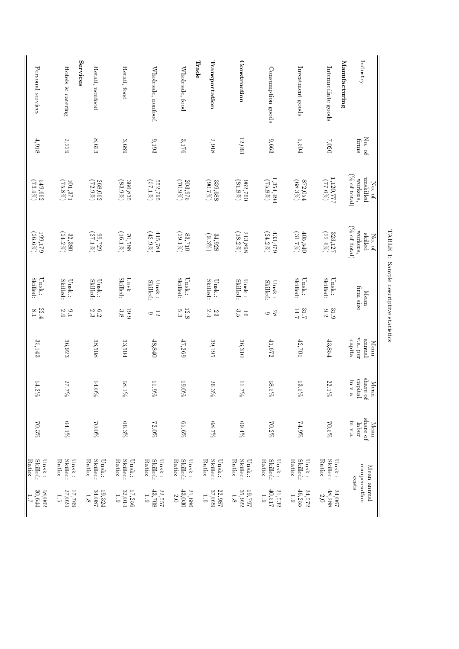| <b>Services</b><br>Trade<br>Transportation<br>Hotels & catering<br>Wholesale, food<br>Consumption goods<br>Personal services<br>Retail, nonfood<br>Retail, food<br>Wholesale, nonfood<br>$12,\!061$<br>$8,\!623$<br>9,193<br>$9,663$<br>$4,918$<br>2,229<br>3,689<br>3,176<br>$2,948$<br>1,354,494<br>249,662<br>$({\mathcal A}2.9\%)$<br>366,835<br>$(\%602)$<br>$(\%2.06)$<br>339,688<br>$(75.8\%)$<br>$(75.8\%)$<br>101,371<br>268,062<br>$(83.9\%)$<br>552,795<br>203,975<br>$(81.8\%)$<br>362,760<br>$(\%$ f E $2)$<br>$(57.1\%)$<br>213,898<br>$433.479$<br>$(42.9\%)$<br>(18.2%)<br>199,179<br>$(70,588$<br>$(16.1%)$<br>415,784<br>$(29.1\%)$<br>(24.2%)<br>$(26.6\%)$<br>$(24.2\%)$<br>$(27.1\%)$<br>83,710<br>$34,928$<br>82.9%<br>32,380<br>677.29 | Industry<br>Manufacturing<br>Investment goods<br>Intermediate goods | $\rm No.$ of<br>$5,504$<br>020'1<br>firms | $\%$ of total)<br>1,120,777<br>unskilled<br>workers,<br>872,054<br>$(68.3\%)$<br>(2/3.5)<br>$\overline{\text{No. of}}$ | $\left(\% \text{ of total}\right)$<br>workers,<br>323,127<br>$(31.7\%)$<br>405,540<br>skilled<br>$(22.4\%)$<br>No. of | Skilled:<br>Skilled:<br>$U$ nsk.:<br>$\text{Unsk.}$<br>firm size<br>${\rm Mean}$ | 14.7<br>31.7<br>31.9<br>$\frac{6}{5}$    | $v.a.$ per<br>penuure<br>capita<br>$43,854$<br>42,701<br>Mean | share<br>capital<br>m v.a<br>$13.5\%$<br>22.1%<br>Mean<br>유 | share of<br>in v.a.<br>24.9%<br>70.5%<br>Mean<br>labor | Ratio:<br>Skilled:<br>Skilled:<br>Ratio:<br>Unsk.:<br>Unsk.:<br>compensation<br>Mean annual |
|---------------------------------------------------------------------------------------------------------------------------------------------------------------------------------------------------------------------------------------------------------------------------------------------------------------------------------------------------------------------------------------------------------------------------------------------------------------------------------------------------------------------------------------------------------------------------------------------------------------------------------------------------------------------------------------------------------------------------------------------------------------|---------------------------------------------------------------------|-------------------------------------------|------------------------------------------------------------------------------------------------------------------------|-----------------------------------------------------------------------------------------------------------------------|----------------------------------------------------------------------------------|------------------------------------------|---------------------------------------------------------------|-------------------------------------------------------------|--------------------------------------------------------|---------------------------------------------------------------------------------------------|
|                                                                                                                                                                                                                                                                                                                                                                                                                                                                                                                                                                                                                                                                                                                                                               |                                                                     |                                           |                                                                                                                        |                                                                                                                       |                                                                                  |                                          |                                                               |                                                             |                                                        |                                                                                             |
|                                                                                                                                                                                                                                                                                                                                                                                                                                                                                                                                                                                                                                                                                                                                                               |                                                                     |                                           |                                                                                                                        |                                                                                                                       | Skilled:<br>Unsk.:                                                               | $rac{28}{9}$                             | $7.90$                                                        | $18.5\%$                                                    | 70.2%                                                  |                                                                                             |
|                                                                                                                                                                                                                                                                                                                                                                                                                                                                                                                                                                                                                                                                                                                                                               | Construction                                                        |                                           |                                                                                                                        |                                                                                                                       | Skilled:<br>$\text{Unsk.}$                                                       | $\begin{array}{c} 16 \\ 3.3 \end{array}$ | 36,310                                                        | $11.7\%$                                                    | %769                                                   |                                                                                             |
|                                                                                                                                                                                                                                                                                                                                                                                                                                                                                                                                                                                                                                                                                                                                                               |                                                                     |                                           |                                                                                                                        |                                                                                                                       | Skilled:<br>$\text{Unsk.}$                                                       | $2\sqrt{3}$                              | 39,195                                                        | $26.3\%$                                                    | $28.7\%$                                               |                                                                                             |
|                                                                                                                                                                                                                                                                                                                                                                                                                                                                                                                                                                                                                                                                                                                                                               |                                                                     |                                           |                                                                                                                        |                                                                                                                       | Skilled:<br>$\text{Unsk.}\hspace{-2.0mm}\colon$                                  | $12.8\,$<br>$\ddot{3}$                   | 47,269                                                        | $19.0\%$                                                    | $65.6\%$                                               |                                                                                             |
|                                                                                                                                                                                                                                                                                                                                                                                                                                                                                                                                                                                                                                                                                                                                                               |                                                                     |                                           |                                                                                                                        |                                                                                                                       | Unsk.:<br>Skilled:                                                               | $rac{1}{2}$                              | $48,840$                                                      | $11.9\%$                                                    | 72.0%                                                  |                                                                                             |
|                                                                                                                                                                                                                                                                                                                                                                                                                                                                                                                                                                                                                                                                                                                                                               |                                                                     |                                           |                                                                                                                        |                                                                                                                       | Skilled:<br>$\rm U\,nsk.$                                                        | <b>19.9</b><br>3.8                       | 33,504                                                        | $18.1\%$                                                    | $66.3\%$                                               |                                                                                             |
|                                                                                                                                                                                                                                                                                                                                                                                                                                                                                                                                                                                                                                                                                                                                                               |                                                                     |                                           |                                                                                                                        |                                                                                                                       | Skilled:<br>$\rm Unsk$ :                                                         | 6.3<br>2.3                               | 38,508                                                        | $14.0\%$                                                    | 70.0%                                                  |                                                                                             |
|                                                                                                                                                                                                                                                                                                                                                                                                                                                                                                                                                                                                                                                                                                                                                               |                                                                     |                                           |                                                                                                                        |                                                                                                                       | Skilled:<br>$U$ nsk.:                                                            | $2.9$ .<br>                              | 36,923                                                        | 27.7%                                                       | $64.1\%$                                               |                                                                                             |
|                                                                                                                                                                                                                                                                                                                                                                                                                                                                                                                                                                                                                                                                                                                                                               |                                                                     |                                           |                                                                                                                        |                                                                                                                       | Unsk.:<br>Skilled:                                                               | $22.4\,$                                 | 35,143                                                        | $14.2\%$                                                    | $70.3\%$                                               |                                                                                             |

 $\operatorname{TABLE}$  1: Sample descriptive statistics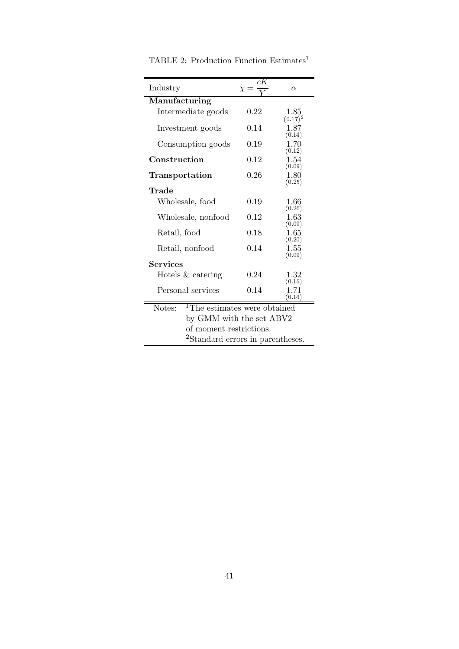| Industry                                           | cК<br>$\chi =$         | $\alpha$                             |  |  |  |
|----------------------------------------------------|------------------------|--------------------------------------|--|--|--|
| Manufacturing                                      |                        |                                      |  |  |  |
| Intermediate goods                                 | 0.22                   | 1.85<br>$(0.17)^2$                   |  |  |  |
| Investment goods                                   | 0.14                   | 1.87<br>(0.14)                       |  |  |  |
| Consumption goods                                  | 0.19                   | 1.70<br>(0.12)                       |  |  |  |
| Construction                                       | 0.12                   | 1.54<br>(0.09)                       |  |  |  |
| Transportation                                     | 0.26                   | 1.80<br>(0.25)                       |  |  |  |
| Trade                                              |                        |                                      |  |  |  |
| Wholesale, food                                    | 0.19                   | 1.66<br>(0.26)                       |  |  |  |
| Wholesale, nonfood                                 | 0.12                   | 1.63<br>(0.09)                       |  |  |  |
| Retail, food                                       | 0.18                   | $1.65\,$<br>(0.20)<br>1.55<br>(0.09) |  |  |  |
| Retail, nonfood                                    | 0.14                   |                                      |  |  |  |
| Services                                           |                        |                                      |  |  |  |
| Hotels $&$ catering                                | 0.24<br>1.32<br>(0.15) |                                      |  |  |  |
| Personal services                                  | 0.14<br>1.71<br>(0.14) |                                      |  |  |  |
| <sup>1</sup> The estimates were obtained<br>Notes: |                        |                                      |  |  |  |
| by GMM with the set ABV2                           |                        |                                      |  |  |  |
| of moment restrictions.                            |                        |                                      |  |  |  |
| <sup>2</sup> Standard errors in parentheses.       |                        |                                      |  |  |  |

TABLE 2: Production Function  $\rm Estimates^1$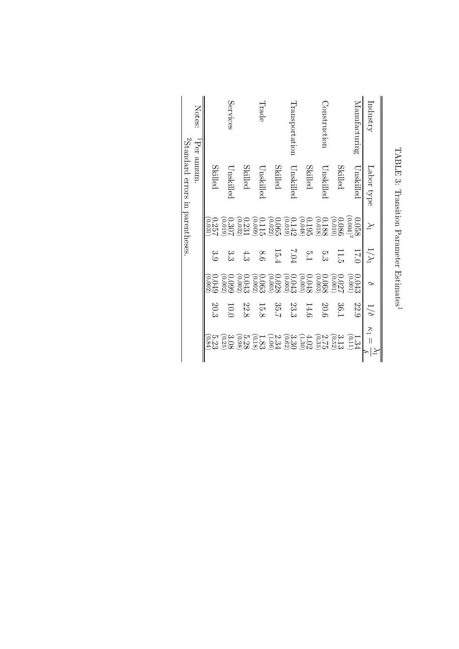|                                                      |               |                                               |               |                                                                                                                        | ${}^{2}$ Standard errors in parentheses |                |
|------------------------------------------------------|---------------|-----------------------------------------------|---------------|------------------------------------------------------------------------------------------------------------------------|-----------------------------------------|----------------|
|                                                      |               |                                               |               |                                                                                                                        | <sup>1</sup> Per annum.                 | Notes:         |
| 5.23<br>0.34)                                        | 20.3          | 0.049<br>(0.002)                              | و.<br>6       | $\begin{array}{c} 0.257 \ 0.031 \end{array}$                                                                           | Skilled                                 |                |
| $\frac{3.08}{(0.25)}$                                | 10.0          | (0.002)<br>0.095                              | دن<br>دن      | $\begin{array}{c} 0.307 \\ 0.019 \end{array}$                                                                          | Unskillec                               | Services       |
| $\begin{array}{c} 5.28 \ 2.38 \end{array}$           | 22.8          | 0.043<br>0.002                                | 4.3           | $\frac{0.231}{0.032}$                                                                                                  | Skilled                                 |                |
| $\begin{array}{c} 1.83 \ 2.18 \end{array}$           | 15.8          | 0.062<br>0.002                                | 8.6           |                                                                                                                        | Unskilled                               | Trade          |
|                                                      | 35.7          | $\begin{array}{c} 0.028\ 0.05 \end{array}$    | 15.4          |                                                                                                                        | Skilled                                 |                |
|                                                      | 23.3          | $0.043$<br>( $0.003$ )                        | F0.7          |                                                                                                                        | Unskilled                               | Transportation |
| 210 411 310 211<br>72. 312 313 31<br>72. 312 313 316 | 14.6          | $\begin{array}{c} 0.048 \\ 0.005 \end{array}$ | 5.1           | $\begin{array}{l} 0.01189 \\ 0.0199 \\ 0.0199 \\ 0.0000 \\ 0.0000 \\ 0.0000 \\ 0.000 \\ 0.000 \\ 0.000 \\ \end{array}$ | Skilled                                 |                |
|                                                      | 20.6          | $\begin{array}{c} 0.068 \\ 0.063 \end{array}$ | بن<br>دن      |                                                                                                                        | Unskillec                               | Construction   |
| $\frac{3.13}{0.52}$                                  | 36.1          | 0.027                                         | 11.5          | $\frac{0.086}{0.010}$                                                                                                  | Skilled                                 |                |
| $\begin{array}{c} 1.34 \\ 0.11 \end{array}$          | 22.9          | 0.043<br>(0.001)                              | 17.0          | (0.004)<br>0.058                                                                                                       | Unskilled                               | Manufacturing  |
| $\kappa_1 =$                                         | $\frac{1}{8}$ | $\circ$                                       | $1/\lambda_1$ | $\geq$                                                                                                                 | Labor type                              | Industry       |
|                                                      |               |                                               |               |                                                                                                                        |                                         |                |

TABLE 3: Transition Parameter Estimates<sup>1</sup>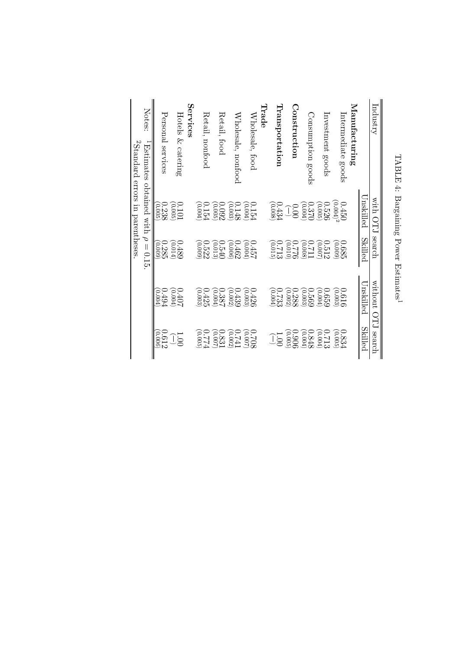| Industry                                                                                          | with OTJ                                            | search                                              | without OH's search                                 |                                               |
|---------------------------------------------------------------------------------------------------|-----------------------------------------------------|-----------------------------------------------------|-----------------------------------------------------|-----------------------------------------------|
|                                                                                                   | Unskilled                                           | Skilled                                             | Unskilled                                           | Skilled                                       |
| Manufacturing                                                                                     |                                                     |                                                     |                                                     |                                               |
| Intermediate goods                                                                                | $(0.004)^2$<br>0.450                                | $\begin{array}{c} 0.685 \ 0.009 \end{array}$        | 0.616                                               | $\begin{array}{c} 0.834 \ 0.005 \end{array}$  |
| Investment goods                                                                                  | $\begin{array}{c} 0.526 \ 0.005 \end{array}$        | $0.512$<br>$(0.007)$                                | $\begin{array}{c} 0.659 \\[-4pt] 0.004 \end{array}$ | $0.713$<br>$(0.004)$                          |
| Consumption goods                                                                                 | $0.370$<br>0.370                                    | $\frac{0.711}{0.008}$                               | $\begin{array}{c} 0.569 \\[-4pt] 0.003 \end{array}$ | $\begin{array}{c} 0.848 \\ 0.004 \end{array}$ |
| Construction                                                                                      | Ĵg                                                  | $\frac{0.75}{0.00}$                                 | $\begin{array}{c} 0.288 \\ 0.002 \end{array}$       | $\begin{array}{c} 0.906\ 0.005 \end{array}$   |
| Transportation                                                                                    | $\begin{array}{c} 0.434 \\ 0.008 \end{array}$       | $\begin{array}{c} 0.713\ 0.015 \end{array}$         | $0.733$<br>$(0.004)$                                | Ĵä                                            |
| ${\rm Trade}$                                                                                     |                                                     |                                                     |                                                     |                                               |
| Wholesale, food                                                                                   | $\begin{array}{c} 0.154 \\ 0.004 \end{array}$       | $0.457$<br>(0.004)                                  | $\begin{array}{c} 0.426 \\ 0.003 \end{array}$       | $\frac{0.708}{0.007}$                         |
| Wholesale, nonfood                                                                                | 0.148<br>$\left( 0.003\right)$                      | 0.462<br>$(900^\circ$                               | 0.439<br>(0.002)                                    | E20<br>(0.002)                                |
| Retail, food                                                                                      | (0.005)<br>0.092                                    | 0.540<br>(0.013)                                    | 0.387<br>(0.004)                                    | 0.831<br>(0.007)                              |
| Retail, nonfood                                                                                   | (0.004)<br>0.154                                    | $\begin{array}{c} 0.522 \ 0.099 \end{array}$        | $0.425$<br>(0.003)                                  | $0.774$<br>0.005)                             |
| Services                                                                                          |                                                     |                                                     |                                                     |                                               |
| Hotels & catering                                                                                 | $\begin{array}{c} 0.101 \\ 0.005 \end{array}$       | $\begin{array}{c} 0.489 \\[-4pt] 0.014 \end{array}$ | $0.407$<br>$(0.004)$                                | $\overline{001}$                              |
| Personal services                                                                                 | $\begin{array}{c} 0.238 \\[-4pt] 0.005 \end{array}$ | 0.285<br>(6000)                                     | <b>P67.0</b><br>(0.004                              | $\begin{array}{c} 0.612 \ 2006 \end{array}$   |
| Notes:<br><sup>2</sup> Standard errors in parentheses<br>-Estimates obtained with $\rho = 0.15$ . |                                                     |                                                     |                                                     |                                               |
|                                                                                                   |                                                     |                                                     |                                                     |                                               |
|                                                                                                   |                                                     |                                                     |                                                     |                                               |

TABLE 4: Bargaining Power Estimates<sup>1</sup>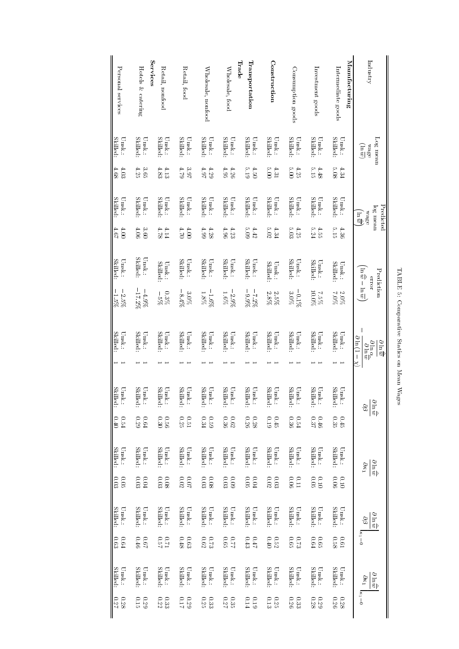| Personal services                  | Services<br>Hotels & catering    | Retail, nonfood                          | Retail, food                     | Wholesale, nonfood                     | Trade<br>Wholesale, food                 | Transportation                                 | Construction              | Consumption goods                             | Investment goods                 | Manufacturing<br>Intermediate goods             | Industry                                                                                                                                                                          |
|------------------------------------|----------------------------------|------------------------------------------|----------------------------------|----------------------------------------|------------------------------------------|------------------------------------------------|---------------------------|-----------------------------------------------|----------------------------------|-------------------------------------------------|-----------------------------------------------------------------------------------------------------------------------------------------------------------------------------------|
| <b>Skilled:</b><br>$\text{Unsk.}:$ | <b>Skilled:</b><br>Unsk.:        | Skilled:<br>Unsk.:                       | Skilled:<br>Unsk.:               | Skilled:<br>Unsk.:                     | <b>Skilled:</b><br>Unsk.:                | <b>Skilled:</b><br>$\textsf{U}\textsc{nsk}$ :  | <b>Skilled:</b><br>Unsk.: | <b>Skilled:</b><br>Unsk.:                     | <b>Skilled:</b><br>Unsk.:        | <b>Skilled:</b><br>Unsk.:                       | $\log$ mean<br>$\overline{\mathfrak{m}}$<br><b>wage</b>                                                                                                                           |
| 4.68<br>4.03                       | 4.25<br>3.65                     | $4.83\,$<br>4.13                         | $62.7$<br>3.97                   | 4.97<br>4.29                           | 4.95<br>4.26                             | 5.19<br>$-50$                                  | 5.00<br>4.31              | 5.00<br>4.25                                  | 2.15<br>4.48                     | 80.3<br>4.34                                    |                                                                                                                                                                                   |
| Skilled:<br>Unsk.:                 | Skilled:<br>Unsk.:               | <b>Skilled:</b><br>Unsk.:                | Skilled:<br>Unsk.:               | Skilled:<br>Unsk.:                     | <b>Skilled:</b><br>Unsk.:                | <b>Skilled:</b><br>Unsk.:                      | <b>Skilled:</b><br>Unsk.: | <b>Skilled</b><br>Unsk.:                      | <b>Skilled:</b><br>Unsk.:        | Skilled:<br>Unsk.:                              | Predicted<br>log mean<br>эЗем<br>्<br>हा                                                                                                                                          |
| 19.5<br>$00^{\circ}$               | 4.06<br>3.60                     | 4.78<br>4.14                             | $\frac{1}{2}$<br>$00^{\circ}$    | 4.99<br>4.28                           | 4.96<br>4.23                             | 60 <sup>2</sup><br>4.42                        | 5.02<br>4.34              | 5.03<br>4.25                                  | 5.24<br>4.55                     | 5.15<br>4.36                                    |                                                                                                                                                                                   |
| Skilled:<br>$\text{Unsk.}\colon$   | Skilled:<br>Unsk.:               | Skilled:<br>$_{\rm Unsk}$                | Skilled:<br>$\text{Unsk.}:$      | Skilled:<br>Unsk.:                     | <b>Skilled:</b><br>$U$ nsk.:             | Skilled:<br>$\text{Unsk.}:$                    | <b>Skilled:</b><br>Unsk.: | <b>Skilled</b><br>$U$ nsk.:                   | <b>Skilled</b><br>Unsk.:         | Skilled:<br>Unsk.:                              | $\overline{\overline{w}} = \overline{\overline{w}} - \overline{w}$<br>Prediction<br>ELCI                                                                                          |
| $-2.5\%$<br>-1.5%                  | $-17.2\%$<br>$-4.9\%$            | $0.3\%$<br>$-5%$                         | $-8.4\%$<br>$3.0\%$              | $-1.6%$<br>$1.8\%$                     | $-2.9\%$<br>$1.6\%$                      | $-9.9\%$<br>$-7.2%$                            | $2.8\%$<br>2.8%           | $-0.1\%$<br>$3.0\%$                           | <b>20.0%</b><br>2.5%             | 20%<br>2.0%                                     |                                                                                                                                                                                   |
| Skilled:<br>Unsk.:                 | Skilled:<br>Unsk.:               | Skilled:<br>Unsk.:                       | <b>Skilled:</b><br>Unsk.:        | <b>Skilled:</b><br>Unsk.:              | <b>Skilled</b><br>Unsk.:                 | <b>Skilled:</b><br>Unsk.:                      | <b>Skilled:</b><br>Unsk.: | <b>Skilled:</b><br>Unsk.:                     | <b>Skilled:</b><br>Unsk.:        | Skilled:<br>Unsk.:                              | $\mathbf{\mathsf{I}}$<br>$\partial \ln(1-\chi)$<br>$\frac{\partial \overline{m}}{\partial \overline{m}}$<br>$\frac{\partial \ln \alpha_{\rm c}}{\partial \ln \widetilde{\omega}}$ |
|                                    |                                  |                                          |                                  |                                        |                                          |                                                |                           |                                               |                                  |                                                 |                                                                                                                                                                                   |
| Unsk.:<br>Skilled:                 | Skilled:<br>Unsk.:               | Skilled:<br>$\text{Unsk.}:$              | Skilled:<br>$\text{Unsk.}:$      | Skilled:<br>$\text{Unsk.}\colon$       | Skilled:<br>$\text{Unsk.}\colon$         | Skilled:<br>$\text{Unsk.}\colon$               | Skilled:<br>Unsk.:        | Skilled:<br>Unsk.:                            | Skilled:<br>$\text{Unsk.}\colon$ | Skilled:<br>$\text{Unsk.}\hspace{-2.0mm}\colon$ | $\frac{3}{2}$ ni $\frac{3}{2}$<br>$\partial\beta$                                                                                                                                 |
| 0.40<br>0.54                       | 0.29<br>0.64                     | 0.30<br>0.56                             | 0.51                             | 0.34<br>620                            | $0.62$<br>0.36                           | 0.26<br>$0.28\,$                               | 610<br>0.45               | $0.36\,$<br>0.54                              | 0.37<br>946                      | $0.35$<br>$0.35$                                |                                                                                                                                                                                   |
| Skilled:<br>$U$ nsk.:              | Skilled:<br>Unsk.:               | Skilled:<br>$\text{Unsk.}\hspace{-2pt}.$ | Skilled:<br>$\text{Unsk.}\colon$ | Skilled:<br>$\textsf{U}\textsc{nsk}$ : | Skilled:<br>$\text{Unsk.}\hspace{-2pt}.$ | <b>Skilled</b><br>$\text{Unsk.}\hspace{-2pt}.$ | Skilled:<br>Unsk.:        | <b>Skilled:</b><br>Unsk.:                     | Skilled:<br>$\text{Unsk.}:$      | Skilled:<br>Unsk.:                              | $\frac{\partial}{\partial \ln \widetilde{w}}$<br>$\partial \kappa_1$                                                                                                              |
| 0.05                               | 0.03<br>F0.04                    | 0.03<br>80.0                             | $0.02$<br>70.02                  | $0.03\,$<br>$80.0$                     | $0.03$<br>$60^\circ$                     | $0.05\,$<br>F000                               | $0.02$<br>$0.03\,$        | 0.06<br>110                                   | 0.05<br>010                      | 90.0<br>010                                     |                                                                                                                                                                                   |
| Skilled:<br>Unsk.:                 | Skilled:<br>$\text{Unsk.}\colon$ | Unsk.:<br>Skilled:                       | Unsk.:<br>Skilled:               | Skilled:<br>$\rm Unsk$ .               | Skilled:<br>$\textsf{Unsk}$ :            | Skilled:<br>Unsk.:                             | Skilled:<br>Unsk.:        | Skilled:<br>Unsk.:                            | Skilled:<br>Unsk.:               | Skilled:<br>Unsk.:                              | $rac{\partial \ln \widetilde{\omega}}{\partial n}$<br>$\partial \mathcal{S}$                                                                                                      |
| $\boldsymbol{0.64}$<br>$0.63\,$    | 0.46<br>$\sqrt{9.0}$             | $12.0$<br>$12.0$                         | 870<br>0.63                      | 0.62                                   | $200$<br>$210$                           | 0.43<br>$_{L\mathrm{f}^\prime0}$               | 0.40<br>0.52              | $0.75$<br>$0.65$                              | 164<br>9.65                      | $0.61$<br>0.58                                  | $k_1=0$                                                                                                                                                                           |
| Skilled:<br>$U$ nsk.:              | Skilled:<br>$U$ nsk.:            | Skilled:<br>$\text{Unsk.}:$              | Unsk.:<br>Skilled:               | Skilled:<br>$\textsf{U}\textsf{nsk}$ : | Skilled:<br>$\text{Unsk.}\hspace{-2pt}.$ | Skilled:<br>$\text{Unsk.}\hspace{-2pt}.$       | <b>Skilled:</b><br>Unsk.: | <b>Skilled:</b><br>$\textsf{U}\textsc{nsk}$ : | Skilled:<br>Unsk.:               | Skilled:<br>Unsk.:                              | $\partial \ln \widehat{\overline{w}}$<br>$\partial \kappa_1$                                                                                                                      |
| $0.27$<br>82.9                     | 0.15<br>0.29                     | 0.32                                     | <b>71.77</b><br>670              | $0.25\phantom{0}$                      | 0.35                                     | <b>0.14</b><br>$610\,$                         | 6.13<br>0.25              | 0.26<br>0.33                                  | $0.28\,$<br>67.0                 | $0.26\,$<br>82.0                                | $\kappa_1 = 0$                                                                                                                                                                    |

 $\operatorname{TABLE}$ 5: Comparative Statics on Mean Wages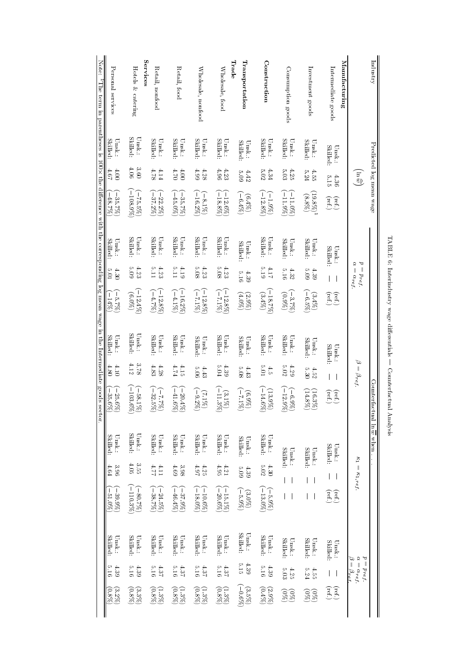| Note:<br>$T$ be term in parentheses is $100 \times$ the difference with the corresponding log mean wage in the Intermediate goods sector. | Personal services                                      | <b>Services</b><br>Hotels & catering                       | Retail, nonfood                              | Retail, food                           | Wholesale, nonfood           | Trade<br>Wholesale, food                            | Iransportation            | Construction                     | Consumption goods                                                      | Investment goods                                   | Manufacturing<br>Intermediate goods                            |                                                                 | Industry                                 |
|-------------------------------------------------------------------------------------------------------------------------------------------|--------------------------------------------------------|------------------------------------------------------------|----------------------------------------------|----------------------------------------|------------------------------|-----------------------------------------------------|---------------------------|----------------------------------|------------------------------------------------------------------------|----------------------------------------------------|----------------------------------------------------------------|-----------------------------------------------------------------|------------------------------------------|
|                                                                                                                                           | Skilled:<br>Unsk.:                                     | <b>Skilled:</b><br>Unsk.:                                  | <b>Skilled</b><br>Unsk.:                     | Skilled:<br>Unsk.:                     | Skilled:<br>Unsk.:           | <b>Skilled:</b><br>Unsk.:                           | Skilled:<br>Unsk.:        | Skilled:<br>Unsk.:               | <b>Skilled:</b><br>Unsk.:                                              | Skilled:<br>Unsk.:                                 | <b>Skilled:</b><br>$U$ nsk.:                                   |                                                                 |                                          |
|                                                                                                                                           | 4.67<br>$00^+$                                         | 90 <sup>+</sup><br>3.60                                    | 4.78<br>4.14                                 | $\frac{1}{2}$<br>$00^+$                | 4.99<br>4.28                 | 4.96<br>4.23                                        | <b>S.09</b><br>4.42       | 5.02<br>4.34                     | 5.03<br>4.25                                                           | 4.55<br>5.24                                       | $\frac{5.15}{15}$<br>4.36                                      | $\widehat{\widetilde{\mathbb{F}}}$                              |                                          |
|                                                                                                                                           | $\left(\frac{-35.7\%)}{-48.7\%}\right)$                | $-108.9%$<br>$-75.5\%$                                     | $-37.2\%$<br>$-22.2\%$                       | $-45.0\%$<br>$-35.7\%)$                | $-16.2%$<br>$(-8.1\%)$       | $\begin{array}{c} (-12.6\%) \ (78.8\%) \end{array}$ | $(-6.4\%)$<br>(6.49)      | $-12.8\%$<br>$(-1.9\%)$          | $-11.9\%$<br>$-11.0\%$                                                 | $\begin{array}{c} (88.8) \\ (88.8) \\ \end{array}$ | $\begin{pmatrix} \mathrm{ref.} \\ \mathrm{ref.} \end{pmatrix}$ |                                                                 | Predicted log mean wage                  |
|                                                                                                                                           | <b>Skilled:</b><br>Unsk.:                              | Skilled:<br>$\text{Unsk.}\hspace{-2pt}.$                   | <b>Skilled</b><br>Unsk.:                     | <b>Skilled:</b><br>Unsk.:              | Skilled:<br>$U$ nsk.:        | <b>Skilled:</b><br>$U$ nsk.:                        | Skilled:<br>Unsk.:        | Skilled:<br>$U$ nsk.:            | <b>Skilled</b><br>Unsk.:                                               | <b>Skilled</b><br>Unsk.:                           | Skilled:<br>$\text{Unsk.}\hspace{-2.0mm}\colon$                | R                                                               |                                          |
|                                                                                                                                           | $\frac{1}{2}0$<br>4.30                                 | 4.23<br>60 <sup>2</sup>                                    | $4.23$<br>5.11                               | $\frac{1}{2}$<br>$61+$                 | 803<br>4.23                  | 5.08<br>4.23                                        | <b>5.16</b><br>4.39       | 613<br>11 <sub>b</sub>           | 5.16<br>4.32                                                           | 5.09<br>4.39                                       |                                                                | $p = p_{ref}$<br>$=\alpha_{ref}$                                |                                          |
|                                                                                                                                           | $\begin{pmatrix} 2 & -5.7\% \ 0 & -14\% \end{pmatrix}$ | $\begin{array}{c} (6.076) \\ (6.07) \\ (6.07) \end{array}$ | $(-12.8\%)$<br>$(-4.7\%)$                    | $-16.2%$<br>$-4.1\%$                   | $-12.8\%$<br>(2512)          | $-12.8\%$<br>$(2612 -$                              | $(2.9%)$<br>(4.0%)        | $-18.7\%$<br>$(3.4\%)$           | $(0.97)$<br>(%7,8)                                                     | $\begin{pmatrix} 3.4\% \\ -6.5\% \end{pmatrix}$    | $\begin{pmatrix} \mathrm{ref.} \\ \mathrm{ref.} \end{pmatrix}$ |                                                                 |                                          |
|                                                                                                                                           | Skilled:<br>Unsk.:                                     | Skilled:<br>Unsk.:                                         | <b>Skilled:</b><br>Unsk.:                    | Skilled:<br>Unsk.:                     | <b>Skilled:</b><br>$U$ nsk.: | Skilled:<br>Unsk.:                                  | Skilled:<br>Unsk.:        | <b>Skilled:</b><br>Unsk.:        | Skilled:<br>Unsk.:                                                     | <b>Skilled:</b><br>Unsk.:                          | Skilled:<br>$_{\rm Unsk}$                                      |                                                                 |                                          |
|                                                                                                                                           | $01+$<br>4.80                                          | 4.12<br>3.78                                               | $4.83\,$<br>$4.28$                           | b2.5<br>4.15                           | 5.06<br>4.43                 | <b>PO'G</b><br>4.39                                 | 80'9<br>$4.43$            | 0.01<br>$\ddot{5}$               | 5.02<br>4.29                                                           | 5.30<br>4.52                                       |                                                                | $\varpi$<br>$\mathbf{v} = \beta_{ref}.$                         |                                          |
|                                                                                                                                           | $(-25.6\%)$<br>$(-35.6\%)$                             | $-103.6\%$<br>$-58.$<br>190                                | $\frac{(-7.7)}{32}$<br>.<br>2%)<br>82        | $\left(\frac{-20.4\%}{-41.6\%}\right)$ | $(-9.2\%)$<br>(2.19)         | $-11.3\%$<br>(3.1%)                                 | $\frac{(6.99)}{(7.15)}$   | $-14.$<br>(13.9%)<br>.<br>88     | $\overline{15}$<br>$\frac{1}{9}$<br>$\Im \mathscr{C}$<br>$\mathcal{S}$ | $(16.3\%)$<br>$(14.8\%)$                           | $(\text{ref.})$<br>Eef.                                        |                                                                 | Counter                                  |
|                                                                                                                                           | Skilled:<br>Unsk.:                                     | Skilled:<br>Unsk.:                                         | <b>Skilled</b><br>Unsk.:                     | Skilled:<br>Unsk.:                     | <b>Skilled:</b><br>Unsk.:    | <b>Skilled:</b><br>Unsk.:                           | <b>Skilled:</b><br>Unsk.: | Skilled:<br>$\text{Unsk.}\colon$ | Skilled:<br>$\text{Unsk.}:$                                            | <b>Skilled:</b><br>Unsk.:                          | Skilled:<br>$U$ nsk.:                                          |                                                                 | factual $\ln \overline{w}$ when $\ldots$ |
|                                                                                                                                           | 3.96<br>4.64                                           | 4.05<br>3.55                                               | $\frac{11}{11}$                              | 4.69<br>3.98                           | $4.97$<br>4.97               | 4.95<br>1.21                                        | 60 <sup>°</sup><br>$4.39$ | 5.02<br>4.30                     |                                                                        |                                                    |                                                                | $\kappa_1=\kappa_1,\mathit{ref}$                                |                                          |
|                                                                                                                                           | $-39.9\%$<br>$-51.0\%$                                 | $-110.3%$<br>$-80.7\%$                                     | $(-24.5\%)$                                  | $-46.4\%$<br>$-37.9\%$                 | $-18.0\%$<br>$-10.6\%$       | $\begin{pmatrix} -15.1\% \ -20.6\% \end{pmatrix}$   | $-5.9\%$<br>$(3.0\%)$     | $-13.0\%$<br>$-5.9\%$            |                                                                        |                                                    | $\begin{pmatrix} \mathrm{ref.} \\ \mathrm{ref.} \end{pmatrix}$ |                                                                 |                                          |
|                                                                                                                                           | Skilled:<br>$U$ nsk.:                                  | Skilled:<br>Unsk.:                                         | <b>Skilled:</b><br>Unsk.:                    | Skilled:<br>Unsk.:                     | Skilled:<br>Unsk.:           | <b>Skilled:</b><br>Unsk.:                           | Skilled:<br>Unsk.:        | Skilled:<br>Unsk.:               | <b>Skilled</b><br>$\text{Unsk.}\colon$                                 | <b>Skilled:</b><br>Unsk.:                          | Skilled:<br>Unsk.:                                             |                                                                 |                                          |
|                                                                                                                                           | 0.16<br>4.39                                           | 4.39<br>5.16                                               | 5.16<br>4.37                                 | 5.16<br>4.37                           | 5.16<br>4.37                 | 5.16<br>4.37                                        | 5.15<br>4.39              | 5.16<br>4.39                     | $5.03\,$<br>4.25                                                       | 5.24<br>4.55                                       |                                                                | $p = p_{ref}$<br>$\alpha=\alpha_{ref}$<br>$\beta = \beta_{ref}$ |                                          |
|                                                                                                                                           | $\begin{pmatrix} 3.2\% \ 0.8\% \end{pmatrix}$          | $\begin{pmatrix} 3.3\% \\ 0.8\% \end{pmatrix}$             | $\begin{pmatrix} 0.39 \\ 0.89 \end{pmatrix}$ | $(1.3\%)$                              | $(0.8\%)$<br>(%8°T)          | $\begin{pmatrix} 0.39 \\ 0.89 \end{pmatrix}$        | $(%9.0 -$<br>$(3.5\%)$    | (644)<br>(2.9%)                  | $\begin{array}{c}\n(8) \\ (8) \\ (8)\n\end{array}$                     | $\widetilde{\mathcal{S}}_{\mathcal{S}}^{(8)}$      | $(\text{ref.})$                                                |                                                                 |                                          |

TABLE 6: Interindustry wage differentials — Counterfactual Analysis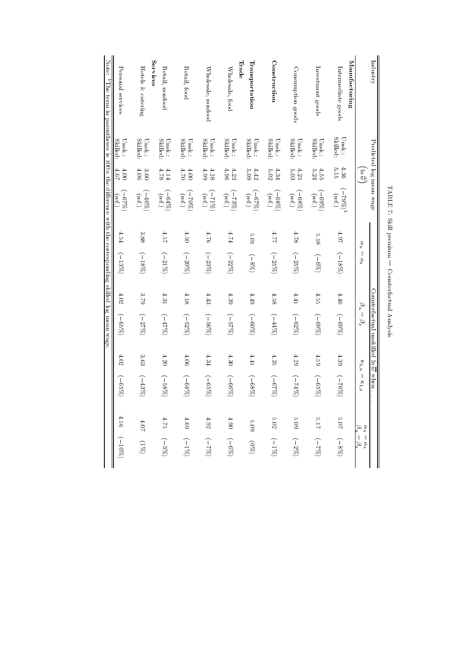| Note:<br><sup>1</sup> The term in parentheses is 100× the difference with the corresponding skilled log mean wage. | Personal services         | Hotels & catering                        | Services<br>Retail, nonfood                | Retail, food                    | Wholesale, nonfood              | Wholesale, food                | Trade<br>Transportation        | Construction                                         | Consumption goods                                    | Investment goods                                     | Manufacturing<br>Intermediate goods |                                                                         | Industry                                                  |
|--------------------------------------------------------------------------------------------------------------------|---------------------------|------------------------------------------|--------------------------------------------|---------------------------------|---------------------------------|--------------------------------|--------------------------------|------------------------------------------------------|------------------------------------------------------|------------------------------------------------------|-------------------------------------|-------------------------------------------------------------------------|-----------------------------------------------------------|
|                                                                                                                    | Skilled:<br>$\text{Unsk}$ | Skilled:<br>Unsk.:                       | <b>Skilled</b><br>Unsk.:                   | <b>Skilled</b><br>$\text{Unsk}$ | <b>Skilled</b><br>$\text{Unsk}$ | <b>Skilled</b><br>Unsk.:       | <b>Skilled</b><br>Unsk.:       | Skilled:<br>$\text{Unsk}$                            | Skilled:<br>Unsk.:                                   | <b>Skilled</b><br>$\text{Unsk.}:$                    | Skilled:<br>Unsk.:                  |                                                                         |                                                           |
|                                                                                                                    | 19.5<br>4.00              | 4.06<br>9.60                             | 4.78<br>1.14                               | 1.70<br>00 <sup>†</sup>         | 4.99<br>4.28                    | 4.96<br>4.23                   | 5.09<br>4.42                   | 5.02<br>4.34                                         | 5.03<br>4.25                                         | 5.24<br>4.55                                         | 5.15<br>4.36                        | $\overline{\overline{\mathbb{S}}}$                                      |                                                           |
|                                                                                                                    | $(2619 -$<br>(ref.)       | $\left(\frac{-46\%}{\text{ref.}}\right)$ | $\left( \frac{-64\%}{\text{ref.}} \right)$ | $(-70\%)$                       | $\frac{(-71\%)}{(\text{ref.)}}$ | $\frac{(73\%)}{(\text{ref.)}}$ | $(9619 - )$<br>$(\text{ref.})$ | $\begin{pmatrix} -68\% \\ \text{ref.} \end{pmatrix}$ | $\begin{pmatrix} -68\% \\ \text{ref.} \end{pmatrix}$ | $\begin{pmatrix} -69\% \\ \text{ref.} \end{pmatrix}$ | $\frac{(779\%)^1}{(\text{ref.)}}$   |                                                                         | Predicted log mean wage                                   |
|                                                                                                                    | 4.54                      | 3.88                                     | 4.57                                       | 4.50                            | 92.7                            | E1                             | 10 <sub>3</sub>                | 17.F                                                 | 4.78                                                 | 813                                                  | $1.97$                              | $\alpha_u$                                                              |                                                           |
|                                                                                                                    | $(-13%)$                  | $(-18%)$                                 | $(-21%)$                                   | $(-20%)$                        | $(-23%)$                        | $(-22%)$                       | $(-8%)$                        | $(-25%)$                                             | $(-25\%)$                                            | $(969 - )$                                           | $(-18\%)$                           | $\mathbf{I}$<br>$\alpha_s$                                              |                                                           |
|                                                                                                                    | 4.02                      | $67.3$                                   | 4.31                                       | 4.18                            | 4.43                            | 4.39                           | 4.49                           | 4.58                                                 | 4.41                                                 | 4.55                                                 | 4.46                                | $\beta_n$                                                               |                                                           |
|                                                                                                                    | $(-65\%)$                 | $(-27%)$                                 | $(-47%)$                                   | $(-52%)$                        | $(-56\%)$                       | $(-57%)$                       | $(2609 - )$                    | (267)                                                | $(-62%)$                                             | $(9669-)$                                            | $(2689-)$                           | $\begin{array}{c} \hline \end{array}$<br>$\beta_s$                      | Counterfactual unskilled $\ln \overline{w}$ when $\ldots$ |
|                                                                                                                    | 4.02                      | 3.63                                     | 4.20                                       | $4.06$                          | 4.34                            | 4.30                           | 1.41                           | 4.35                                                 | 4.29                                                 | 4.59                                                 | 4.39                                | $\kappa_{1,u}$                                                          |                                                           |
|                                                                                                                    | $(9629-)$                 | $(-43%)$                                 | $( -58\%)$                                 | (549)                           | (968)                           | $(9699-)$                      | $(2689-)$                      | $(2629-)$                                            | $(26b2 - )$                                          | (288)                                                | $(2682 -$                           | $\frac{1}{2}$<br>$\kappa_{1,s}$                                         |                                                           |
|                                                                                                                    | 4.56                      | $10\,$                                   | 4.75                                       | 4.69                            | $4.92\,$                        | 06.4                           | <b>8.09</b>                    | $5.02\,$                                             | $60\,7$                                              | $21.7\,$                                             | $\rm 70.7$                          |                                                                         |                                                           |
|                                                                                                                    | $(2601 - )$               | $(261)$                                  | $(-3\%)$                                   | $(-1\%)$                        | $(962-)$                        | $(969-)$                       | $\left( \%\otimes\right)$      | $(261 - )$                                           | $(-2%)$                                              | $(962 - )$                                           | $(-8\%)$                            | $\begin{array}{l} \alpha_u = \alpha_s \\ \beta_u = \beta_s \end{array}$ |                                                           |

| ۱<br>i<br> <br>       |
|-----------------------|
| ì<br>ļ<br>I<br>ı<br>l |
| ׇ֘֝֕֡                 |
|                       |
| J<br>O<br>j<br>J<br>ı |
| ļ<br>í<br>۱           |